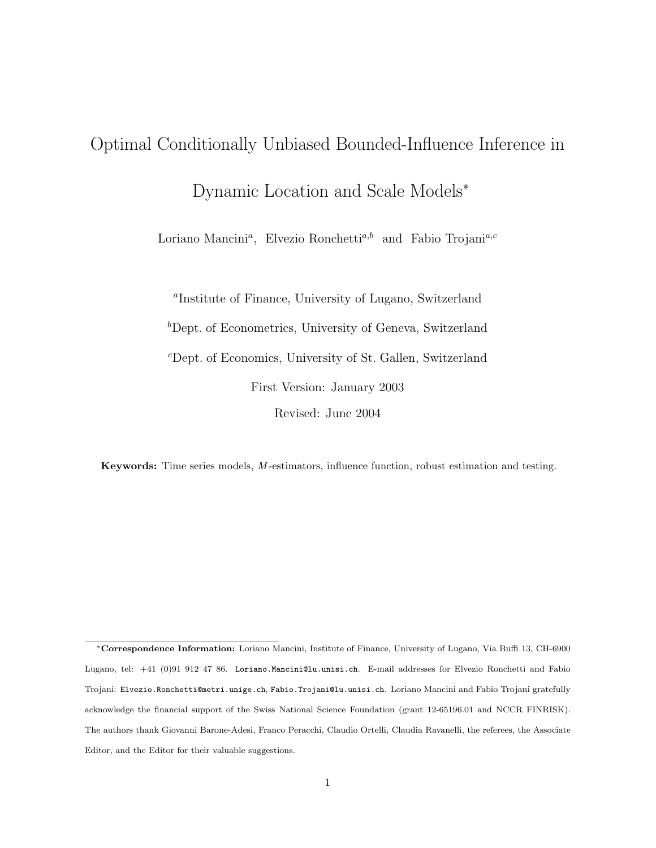# Optimal Conditionally Unbiased Bounded-Influence Inference in

Dynamic Location and Scale Models<sup>∗</sup>

Loriano Mancini<sup>a</sup>, Elvezio Ronchetti<sup>a,b</sup> and Fabio Trojani<sup>a,c</sup>

a Institute of Finance, University of Lugano, Switzerland  ${}^b$ Dept. of Econometrics, University of Geneva, Switzerland <sup>c</sup>Dept. of Economics, University of St. Gallen, Switzerland First Version: January 2003 Revised: June 2004

Keywords: Time series models, M -estimators, influence function, robust estimation and testing.

<sup>∗</sup>Correspondence Information: Loriano Mancini, Institute of Finance, University of Lugano, Via Buffi 13, CH-6900 Lugano, tel: +41 (0)91 912 47 86. Loriano.Mancini@lu.unisi.ch. E-mail addresses for Elvezio Ronchetti and Fabio Trojani: Elvezio.Ronchetti@metri.unige.ch, Fabio.Trojani@lu.unisi.ch. Loriano Mancini and Fabio Trojani gratefully acknowledge the financial support of the Swiss National Science Foundation (grant 12-65196.01 and NCCR FINRISK). The authors thank Giovanni Barone-Adesi, Franco Peracchi, Claudio Ortelli, Claudia Ravanelli, the referees, the Associate Editor, and the Editor for their valuable suggestions.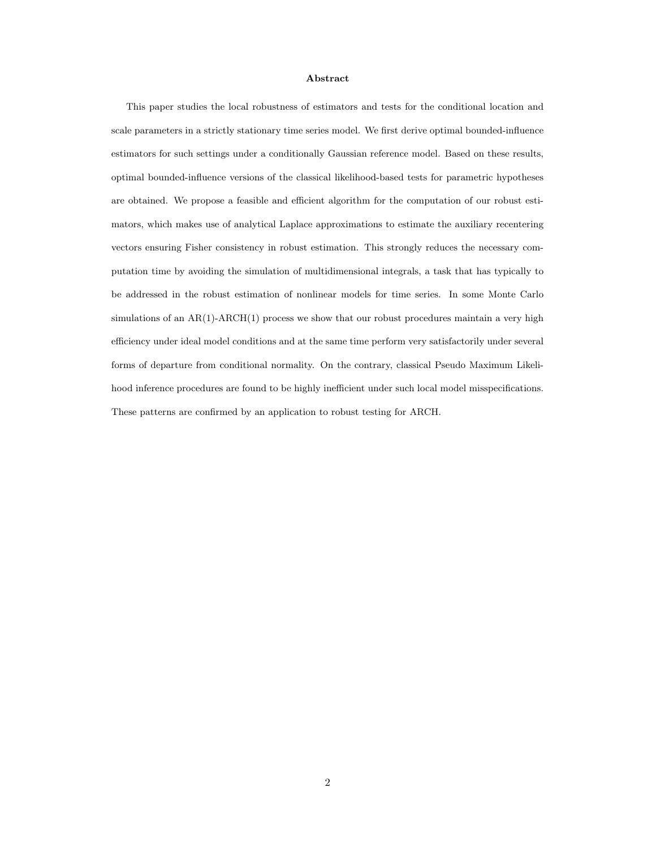#### Abstract

This paper studies the local robustness of estimators and tests for the conditional location and scale parameters in a strictly stationary time series model. We first derive optimal bounded-influence estimators for such settings under a conditionally Gaussian reference model. Based on these results, optimal bounded-influence versions of the classical likelihood-based tests for parametric hypotheses are obtained. We propose a feasible and efficient algorithm for the computation of our robust estimators, which makes use of analytical Laplace approximations to estimate the auxiliary recentering vectors ensuring Fisher consistency in robust estimation. This strongly reduces the necessary computation time by avoiding the simulation of multidimensional integrals, a task that has typically to be addressed in the robust estimation of nonlinear models for time series. In some Monte Carlo simulations of an  $AR(1)$ -ARCH $(1)$  process we show that our robust procedures maintain a very high efficiency under ideal model conditions and at the same time perform very satisfactorily under several forms of departure from conditional normality. On the contrary, classical Pseudo Maximum Likelihood inference procedures are found to be highly inefficient under such local model misspecifications. These patterns are confirmed by an application to robust testing for ARCH.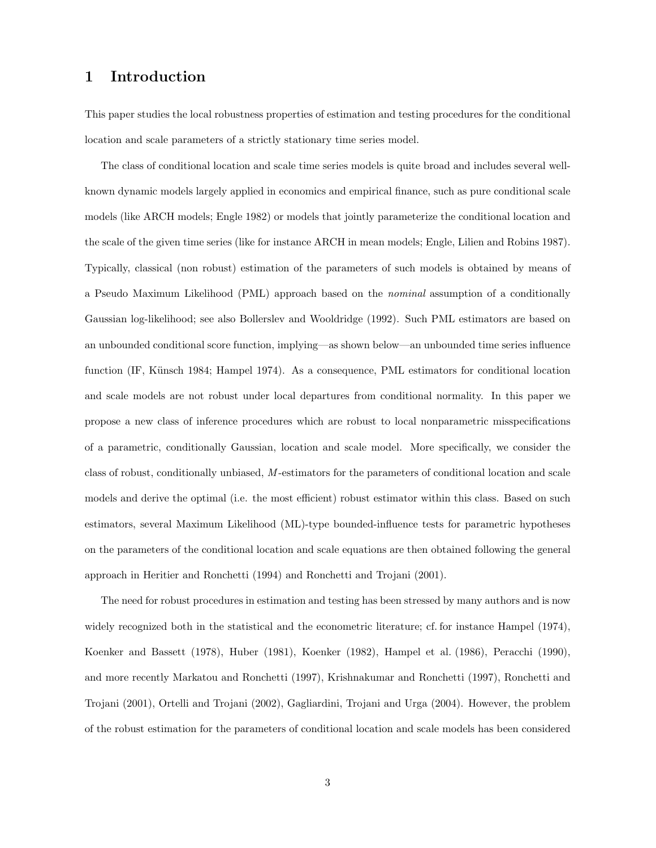# 1 Introduction

This paper studies the local robustness properties of estimation and testing procedures for the conditional location and scale parameters of a strictly stationary time series model.

The class of conditional location and scale time series models is quite broad and includes several wellknown dynamic models largely applied in economics and empirical finance, such as pure conditional scale models (like ARCH models; Engle 1982) or models that jointly parameterize the conditional location and the scale of the given time series (like for instance ARCH in mean models; Engle, Lilien and Robins 1987). Typically, classical (non robust) estimation of the parameters of such models is obtained by means of a Pseudo Maximum Likelihood (PML) approach based on the nominal assumption of a conditionally Gaussian log-likelihood; see also Bollerslev and Wooldridge (1992). Such PML estimators are based on an unbounded conditional score function, implying—as shown below—an unbounded time series influence function (IF, Künsch 1984; Hampel 1974). As a consequence, PML estimators for conditional location and scale models are not robust under local departures from conditional normality. In this paper we propose a new class of inference procedures which are robust to local nonparametric misspecifications of a parametric, conditionally Gaussian, location and scale model. More specifically, we consider the class of robust, conditionally unbiased, M -estimators for the parameters of conditional location and scale models and derive the optimal (i.e. the most efficient) robust estimator within this class. Based on such estimators, several Maximum Likelihood (ML)-type bounded-influence tests for parametric hypotheses on the parameters of the conditional location and scale equations are then obtained following the general approach in Heritier and Ronchetti (1994) and Ronchetti and Trojani (2001).

The need for robust procedures in estimation and testing has been stressed by many authors and is now widely recognized both in the statistical and the econometric literature; cf. for instance Hampel (1974), Koenker and Bassett (1978), Huber (1981), Koenker (1982), Hampel et al. (1986), Peracchi (1990), and more recently Markatou and Ronchetti (1997), Krishnakumar and Ronchetti (1997), Ronchetti and Trojani (2001), Ortelli and Trojani (2002), Gagliardini, Trojani and Urga (2004). However, the problem of the robust estimation for the parameters of conditional location and scale models has been considered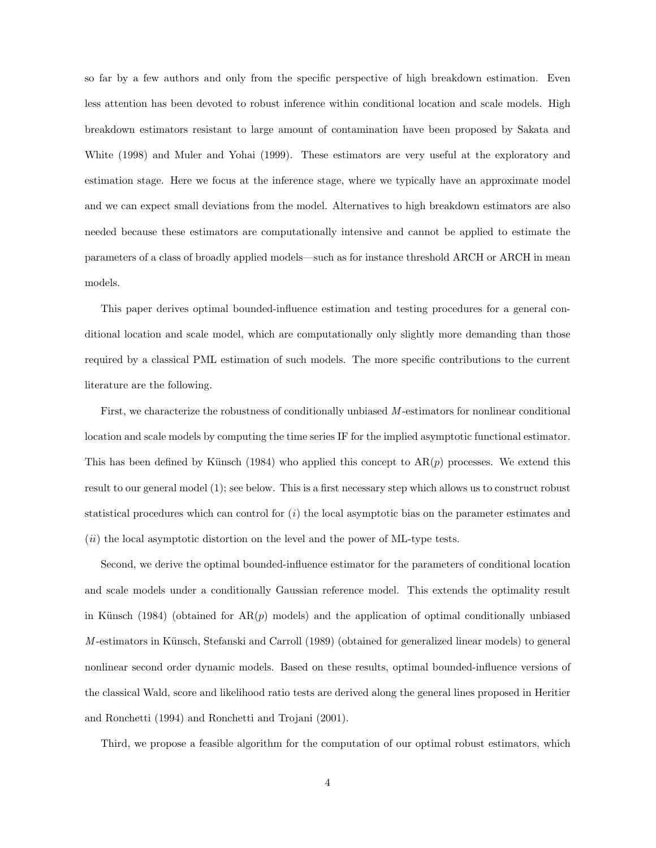so far by a few authors and only from the specific perspective of high breakdown estimation. Even less attention has been devoted to robust inference within conditional location and scale models. High breakdown estimators resistant to large amount of contamination have been proposed by Sakata and White (1998) and Muler and Yohai (1999). These estimators are very useful at the exploratory and estimation stage. Here we focus at the inference stage, where we typically have an approximate model and we can expect small deviations from the model. Alternatives to high breakdown estimators are also needed because these estimators are computationally intensive and cannot be applied to estimate the parameters of a class of broadly applied models—such as for instance threshold ARCH or ARCH in mean models.

This paper derives optimal bounded-influence estimation and testing procedures for a general conditional location and scale model, which are computationally only slightly more demanding than those required by a classical PML estimation of such models. The more specific contributions to the current literature are the following.

First, we characterize the robustness of conditionally unbiased M -estimators for nonlinear conditional location and scale models by computing the time series IF for the implied asymptotic functional estimator. This has been defined by Künsch (1984) who applied this concept to  $AR(p)$  processes. We extend this result to our general model (1); see below. This is a first necessary step which allows us to construct robust statistical procedures which can control for  $(i)$  the local asymptotic bias on the parameter estimates and  $(ii)$  the local asymptotic distortion on the level and the power of ML-type tests.

Second, we derive the optimal bounded-influence estimator for the parameters of conditional location and scale models under a conditionally Gaussian reference model. This extends the optimality result in Künsch (1984) (obtained for  $AR(p)$  models) and the application of optimal conditionally unbiased  $M$ -estimators in Künsch, Stefanski and Carroll (1989) (obtained for generalized linear models) to general nonlinear second order dynamic models. Based on these results, optimal bounded-influence versions of the classical Wald, score and likelihood ratio tests are derived along the general lines proposed in Heritier and Ronchetti (1994) and Ronchetti and Trojani (2001).

Third, we propose a feasible algorithm for the computation of our optimal robust estimators, which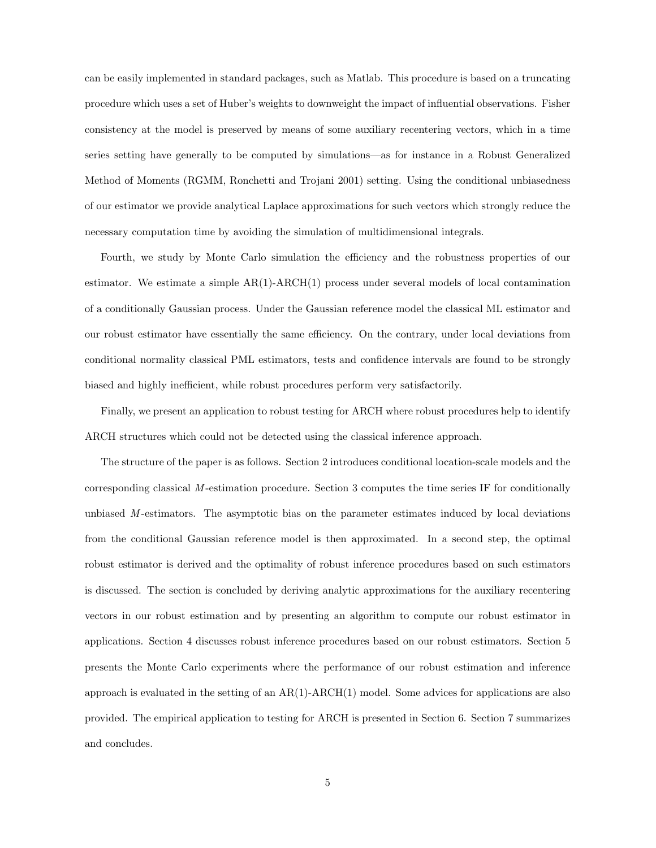can be easily implemented in standard packages, such as Matlab. This procedure is based on a truncating procedure which uses a set of Huber's weights to downweight the impact of influential observations. Fisher consistency at the model is preserved by means of some auxiliary recentering vectors, which in a time series setting have generally to be computed by simulations—as for instance in a Robust Generalized Method of Moments (RGMM, Ronchetti and Trojani 2001) setting. Using the conditional unbiasedness of our estimator we provide analytical Laplace approximations for such vectors which strongly reduce the necessary computation time by avoiding the simulation of multidimensional integrals.

Fourth, we study by Monte Carlo simulation the efficiency and the robustness properties of our estimator. We estimate a simple  $AR(1)$ - $ARCH(1)$  process under several models of local contamination of a conditionally Gaussian process. Under the Gaussian reference model the classical ML estimator and our robust estimator have essentially the same efficiency. On the contrary, under local deviations from conditional normality classical PML estimators, tests and confidence intervals are found to be strongly biased and highly inefficient, while robust procedures perform very satisfactorily.

Finally, we present an application to robust testing for ARCH where robust procedures help to identify ARCH structures which could not be detected using the classical inference approach.

The structure of the paper is as follows. Section 2 introduces conditional location-scale models and the corresponding classical  $M$ -estimation procedure. Section 3 computes the time series IF for conditionally unbiased  $M$ -estimators. The asymptotic bias on the parameter estimates induced by local deviations from the conditional Gaussian reference model is then approximated. In a second step, the optimal robust estimator is derived and the optimality of robust inference procedures based on such estimators is discussed. The section is concluded by deriving analytic approximations for the auxiliary recentering vectors in our robust estimation and by presenting an algorithm to compute our robust estimator in applications. Section 4 discusses robust inference procedures based on our robust estimators. Section 5 presents the Monte Carlo experiments where the performance of our robust estimation and inference approach is evaluated in the setting of an AR(1)-ARCH(1) model. Some advices for applications are also provided. The empirical application to testing for ARCH is presented in Section 6. Section 7 summarizes and concludes.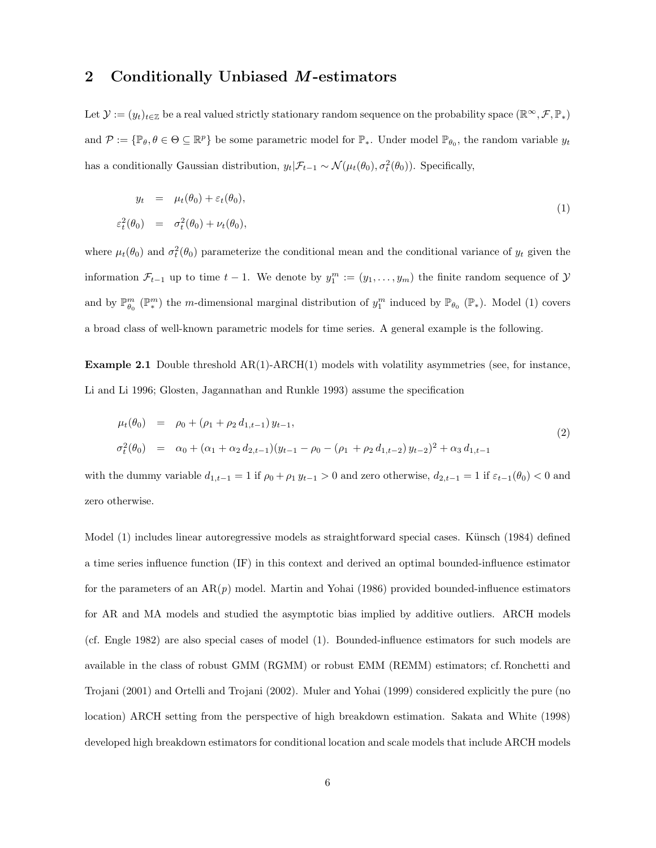## 2 Conditionally Unbiased M-estimators

Let  $\mathcal{Y} := (y_t)_{t \in \mathbb{Z}}$  be a real valued strictly stationary random sequence on the probability space  $(\mathbb{R}^\infty, \mathcal{F}, \mathbb{P}_*)$ and  $\mathcal{P} := \{ \mathbb{P}_{\theta}, \theta \in \Theta \subseteq \mathbb{R}^p \}$  be some parametric model for  $\mathbb{P}_*,$  Under model  $\mathbb{P}_{\theta_0}$ , the random variable  $y_t$ has a conditionally Gaussian distribution,  $y_t | \mathcal{F}_{t-1} \sim \mathcal{N}(\mu_t(\theta_0), \sigma_t^2(\theta_0))$ . Specifically,

$$
y_t = \mu_t(\theta_0) + \varepsilon_t(\theta_0), \tag{1}
$$

$$
\varepsilon_t^2(\theta_0) = \sigma_t^2(\theta_0) + \nu_t(\theta_0),
$$

where  $\mu_t(\theta_0)$  and  $\sigma_t^2(\theta_0)$  parameterize the conditional mean and the conditional variance of  $y_t$  given the information  $\mathcal{F}_{t-1}$  up to time  $t-1$ . We denote by  $y_1^m := (y_1, \ldots, y_m)$  the finite random sequence of  $\mathcal{Y}$ and by  $\mathbb{P}_{\theta_0}^m(\mathbb{P}_{*}^m)$  the m-dimensional marginal distribution of  $y_1^m$  induced by  $\mathbb{P}_{\theta_0}(\mathbb{P}_{*})$ . Model (1) covers a broad class of well-known parametric models for time series. A general example is the following.

**Example 2.1** Double threshold  $AR(1)$ -ARCH $(1)$  models with volatility asymmetries (see, for instance, Li and Li 1996; Glosten, Jagannathan and Runkle 1993) assume the specification

$$
\mu_t(\theta_0) = \rho_0 + (\rho_1 + \rho_2 d_{1,t-1}) y_{t-1},
$$
\n
$$
\sigma_t^2(\theta_0) = \alpha_0 + (\alpha_1 + \alpha_2 d_{2,t-1})(y_{t-1} - \rho_0 - (\rho_1 + \rho_2 d_{1,t-2}) y_{t-2})^2 + \alpha_3 d_{1,t-1}
$$
\n(2)

with the dummy variable  $d_{1,t-1} = 1$  if  $\rho_0 + \rho_1 y_{t-1} > 0$  and zero otherwise,  $d_{2,t-1} = 1$  if  $\varepsilon_{t-1}(\theta_0) < 0$  and zero otherwise.

Model (1) includes linear autoregressive models as straightforward special cases. Künsch (1984) defined a time series influence function (IF) in this context and derived an optimal bounded-influence estimator for the parameters of an  $AR(p)$  model. Martin and Yohai (1986) provided bounded-influence estimators for AR and MA models and studied the asymptotic bias implied by additive outliers. ARCH models (cf. Engle 1982) are also special cases of model (1). Bounded-influence estimators for such models are available in the class of robust GMM (RGMM) or robust EMM (REMM) estimators; cf. Ronchetti and Trojani (2001) and Ortelli and Trojani (2002). Muler and Yohai (1999) considered explicitly the pure (no location) ARCH setting from the perspective of high breakdown estimation. Sakata and White (1998) developed high breakdown estimators for conditional location and scale models that include ARCH models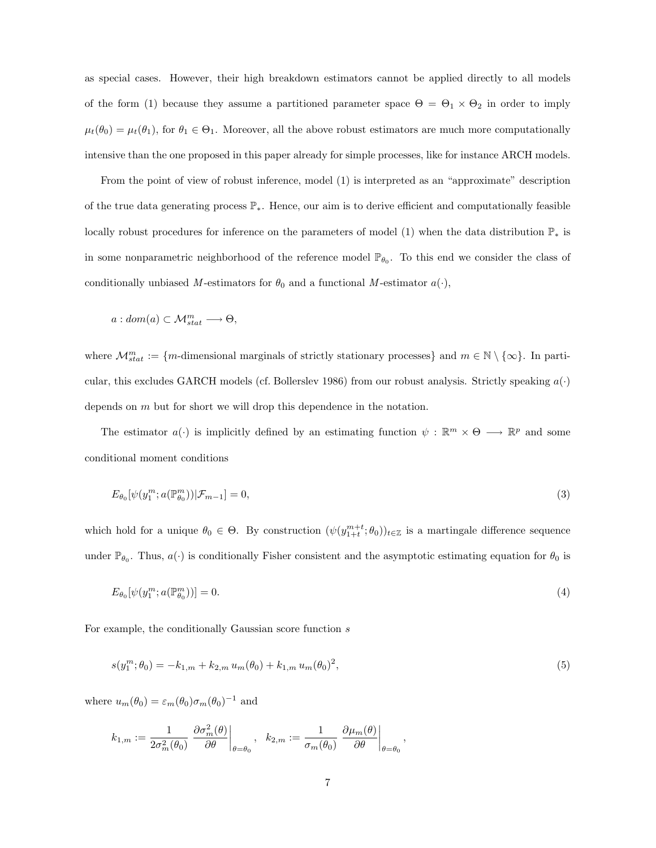as special cases. However, their high breakdown estimators cannot be applied directly to all models of the form (1) because they assume a partitioned parameter space  $\Theta = \Theta_1 \times \Theta_2$  in order to imply  $\mu_t(\theta_0) = \mu_t(\theta_1)$ , for  $\theta_1 \in \Theta_1$ . Moreover, all the above robust estimators are much more computationally intensive than the one proposed in this paper already for simple processes, like for instance ARCH models.

From the point of view of robust inference, model (1) is interpreted as an "approximate" description of the true data generating process P∗. Hence, our aim is to derive efficient and computationally feasible locally robust procedures for inference on the parameters of model (1) when the data distribution P<sup>∗</sup> is in some nonparametric neighborhood of the reference model  $\mathbb{P}_{\theta_0}$ . To this end we consider the class of conditionally unbiased M-estimators for  $\theta_0$  and a functional M-estimator  $a(\cdot)$ ,

$$
a: dom(a) \subset \mathcal{M}^m_{stat} \longrightarrow \Theta,
$$

where  $\mathcal{M}_{stat}^m := \{m\text{-dimensional marginals of strictly stationary processes}\}\$  and  $m \in \mathbb{N} \setminus \{\infty\}$ . In particular, this excludes GARCH models (cf. Bollerslev 1986) from our robust analysis. Strictly speaking  $a(\cdot)$ depends on m but for short we will drop this dependence in the notation.

The estimator  $a(\cdot)$  is implicitly defined by an estimating function  $\psi : \mathbb{R}^m \times \Theta \longrightarrow \mathbb{R}^p$  and some conditional moment conditions

$$
E_{\theta_0}[\psi(y_1^m; a(\mathbb{P}_{\theta_0}^m))|\mathcal{F}_{m-1}] = 0,\t\t(3)
$$

which hold for a unique  $\theta_0 \in \Theta$ . By construction  $(\psi(y_{1+t}^{m+t}; \theta_0))_{t \in \mathbb{Z}}$  is a martingale difference sequence under  $\mathbb{P}_{\theta_0}$ . Thus,  $a(\cdot)$  is conditionally Fisher consistent and the asymptotic estimating equation for  $\theta_0$  is

$$
E_{\theta_0}[\psi(y_1^m; a(\mathbb{P}_{\theta_0}^m))] = 0. \tag{4}
$$

For example, the conditionally Gaussian score function s

$$
s(y_1^m; \theta_0) = -k_{1,m} + k_{2,m} u_m(\theta_0) + k_{1,m} u_m(\theta_0)^2,
$$
\n<sup>(5)</sup>

where  $u_m(\theta_0) = \varepsilon_m(\theta_0) \sigma_m(\theta_0)^{-1}$  and

$$
k_{1,m}:=\frac{1}{2\sigma_m^2(\theta_0)}\left.\frac{\partial \sigma_m^2(\theta)}{\partial \theta}\right|_{\theta=\theta_0},\ \ k_{2,m}:=\frac{1}{\sigma_m(\theta_0)}\left.\frac{\partial \mu_m(\theta)}{\partial \theta}\right|_{\theta=\theta_0},
$$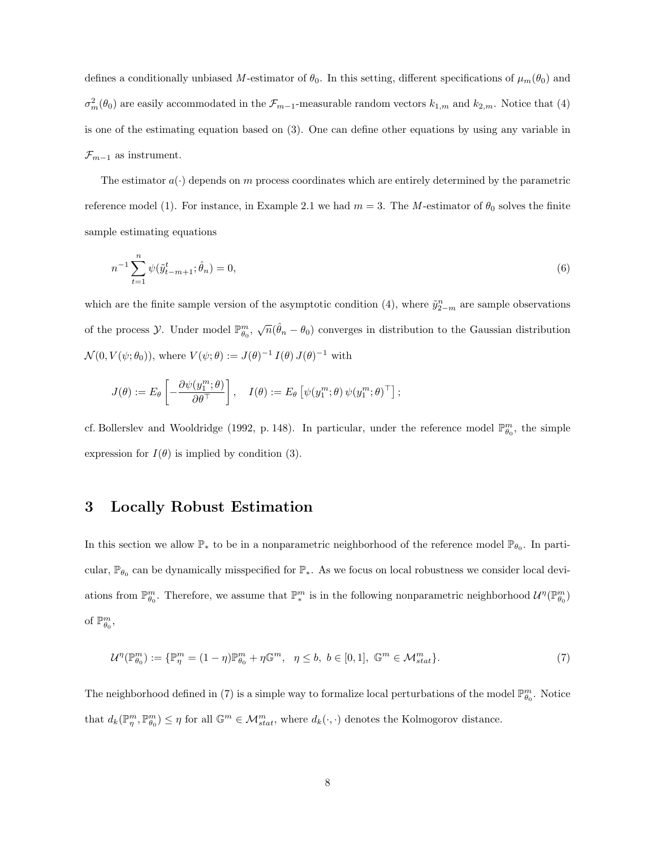defines a conditionally unbiased M-estimator of  $\theta_0$ . In this setting, different specifications of  $\mu_m(\theta_0)$  and  $\sigma_m^2(\theta_0)$  are easily accommodated in the  $\mathcal{F}_{m-1}$ -measurable random vectors  $k_{1,m}$  and  $k_{2,m}$ . Notice that (4) is one of the estimating equation based on (3). One can define other equations by using any variable in  $\mathcal{F}_{m-1}$  as instrument.

The estimator  $a(\cdot)$  depends on m process coordinates which are entirely determined by the parametric reference model (1). For instance, in Example 2.1 we had  $m = 3$ . The M-estimator of  $\theta_0$  solves the finite sample estimating equations

$$
n^{-1} \sum_{t=1}^{n} \psi(\tilde{y}_{t-m+1}^{t}; \hat{\theta}_n) = 0,
$$
\n(6)

which are the finite sample version of the asymptotic condition (4), where  $\tilde{y}_{2-m}^n$  are sample observations of the process  $\mathcal Y$ . Under model  $\mathbb{P}^m_{\theta_0}$ ,  $\sqrt{n}(\hat{\theta}_n - \theta_0)$  converges in distribution to the Gaussian distribution  $\mathcal{N}(0, V(\psi; \theta_0)),$  where  $V(\psi; \theta) := J(\theta)^{-1} I(\theta) J(\theta)^{-1}$  with

$$
J(\theta) := E_{\theta} \left[ -\frac{\partial \psi(y_1^m; \theta)}{\partial \theta^{\top}} \right], \quad I(\theta) := E_{\theta} \left[ \psi(y_1^m; \theta) \psi(y_1^m; \theta)^{\top} \right];
$$

cf. Bollerslev and Wooldridge (1992, p. 148). In particular, under the reference model  $\mathbb{P}_{\theta_0}^m$ , the simple expression for  $I(\theta)$  is implied by condition (3).

## 3 Locally Robust Estimation

In this section we allow  $\mathbb{P}_*$  to be in a nonparametric neighborhood of the reference model  $\mathbb{P}_{\theta_0}$ . In particular,  $\mathbb{P}_{\theta_0}$  can be dynamically misspecified for  $\mathbb{P}_*$ . As we focus on local robustness we consider local deviations from  $\mathbb{P}_{\theta_0}^m$ . Therefore, we assume that  $\mathbb{P}_{*}^m$  is in the following nonparametric neighborhood  $\mathcal{U}^{\eta}(\mathbb{P}_{\theta_0}^m)$ of  $\mathbb{P}_{\theta_0}^m$ ,

$$
\mathcal{U}^{\eta}(\mathbb{P}_{\theta_0}^m) := \{ \mathbb{P}_{\eta}^m = (1 - \eta) \mathbb{P}_{\theta_0}^m + \eta \mathbb{G}^m, \quad \eta \le b, \ b \in [0, 1], \ \mathbb{G}^m \in \mathcal{M}_{stat}^m \}.
$$

The neighborhood defined in (7) is a simple way to formalize local perturbations of the model  $\mathbb{P}_{\theta_0}^m$ . Notice that  $d_k(\mathbb{P}_{\eta}^m, \mathbb{P}_{\theta_0}^m) \leq \eta$  for all  $\mathbb{G}^m \in \mathcal{M}_{stat}^m$ , where  $d_k(\cdot, \cdot)$  denotes the Kolmogorov distance.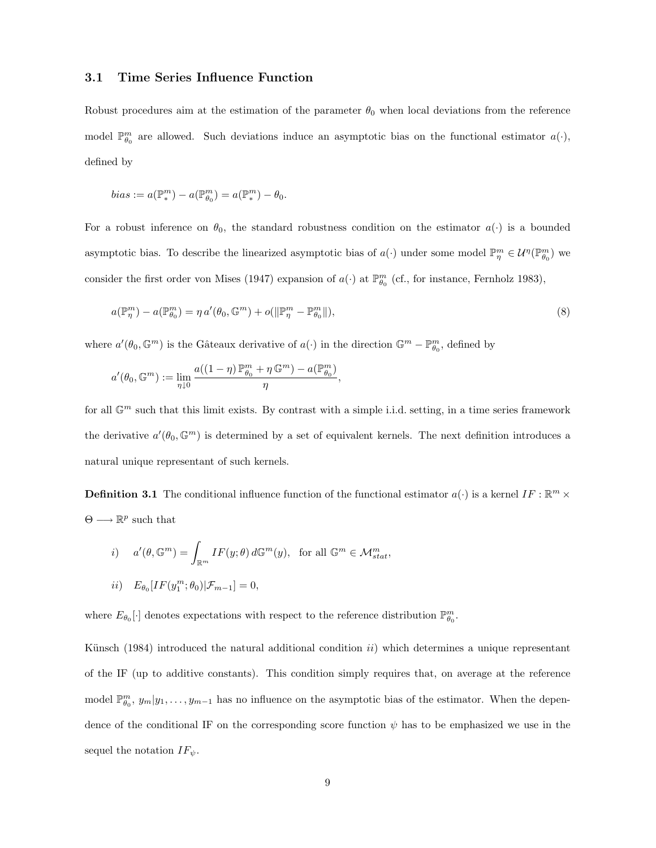#### 3.1 Time Series Influence Function

Robust procedures aim at the estimation of the parameter  $\theta_0$  when local deviations from the reference model  $\mathbb{P}_{\theta_0}^m$  are allowed. Such deviations induce an asymptotic bias on the functional estimator  $a(\cdot)$ , defined by

$$
bias:=a(\mathbb{P}_{*}^m)-a(\mathbb{P}_{\theta_0}^m)=a(\mathbb{P}_{*}^m)-\theta_0.
$$

For a robust inference on  $\theta_0$ , the standard robustness condition on the estimator  $a(\cdot)$  is a bounded asymptotic bias. To describe the linearized asymptotic bias of  $a(\cdot)$  under some model  $\mathbb{P}_{\eta}^m \in \mathcal{U}^{\eta}(\mathbb{P}_{\theta_0}^m)$  we consider the first order von Mises (1947) expansion of  $a(\cdot)$  at  $\mathbb{P}_{\theta_0}^m$  (cf., for instance, Fernholz 1983),

$$
a(\mathbb{P}_{\eta}^{m}) - a(\mathbb{P}_{\theta_{0}}^{m}) = \eta a'(\theta_{0}, \mathbb{G}^{m}) + o(||\mathbb{P}_{\eta}^{m} - \mathbb{P}_{\theta_{0}}^{m}||),
$$
\n
$$
(8)
$$

where  $a'(\theta_0, \mathbb{G}^m)$  is the Gâteaux derivative of  $a(\cdot)$  in the direction  $\mathbb{G}^m - \mathbb{P}_{\theta_0}^m$ , defined by

$$
a'(\theta_0,\mathbb{G}^m):=\lim_{\eta\downarrow 0}\frac{a((1-\eta)\,\mathbb{P}^m_{\theta_0}+\eta\,\mathbb{G}^m)-a(\mathbb{P}^m_{\theta_0})}{\eta},
$$

for all  $\mathbb{G}^m$  such that this limit exists. By contrast with a simple i.i.d. setting, in a time series framework the derivative  $a'(\theta_0, \mathbb{G}^m)$  is determined by a set of equivalent kernels. The next definition introduces a natural unique representant of such kernels.

**Definition 3.1** The conditional influence function of the functional estimator  $a(\cdot)$  is a kernel IF :  $\mathbb{R}^m$   $\times$  $\Theta \longrightarrow \mathbb{R}^p$  such that

$$
i) \t a'(\theta, \mathbb{G}^m) = \int_{\mathbb{R}^m} IF(y; \theta) d\mathbb{G}^m(y), \text{ for all } \mathbb{G}^m \in \mathcal{M}_{stat}^m,
$$
  

$$
ii) \t E_{\theta_0}[IF(y_1^m; \theta_0)|\mathcal{F}_{m-1}] = 0,
$$

where  $E_{\theta_0}[\cdot]$  denotes expectations with respect to the reference distribution  $\mathbb{P}^m_{\theta_0}$ .

Künsch (1984) introduced the natural additional condition  $ii$ ) which determines a unique representant of the IF (up to additive constants). This condition simply requires that, on average at the reference model  $\mathbb{P}_{\theta_0}^m$ ,  $y_m|y_1,\ldots,y_{m-1}$  has no influence on the asymptotic bias of the estimator. When the dependence of the conditional IF on the corresponding score function  $\psi$  has to be emphasized we use in the sequel the notation  $IF_{\psi}$ .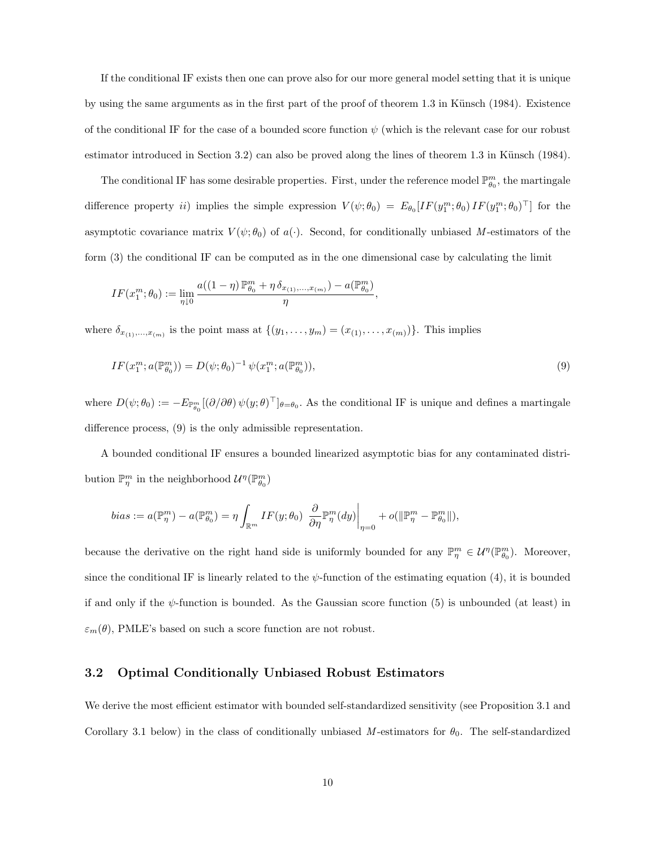If the conditional IF exists then one can prove also for our more general model setting that it is unique by using the same arguments as in the first part of the proof of theorem 1.3 in Künsch (1984). Existence of the conditional IF for the case of a bounded score function  $\psi$  (which is the relevant case for our robust estimator introduced in Section 3.2) can also be proved along the lines of theorem 1.3 in Künsch (1984).

The conditional IF has some desirable properties. First, under the reference model  $\mathbb{P}_{\theta_0}^m$ , the martingale difference property *ii*) implies the simple expression  $V(\psi; \theta_0) = E_{\theta_0}[IF(y_1^m; \theta_0)IF(y_1^m; \theta_0)^\top]$  for the asymptotic covariance matrix  $V(\psi; \theta_0)$  of  $a(\cdot)$ . Second, for conditionally unbiased M-estimators of the form (3) the conditional IF can be computed as in the one dimensional case by calculating the limit

$$
IF(x_1^m;\theta_0):=\lim_{\eta\downarrow 0}\frac{a((1-\eta)\,\mathbb{P}^m_{\theta_0}+\eta\,\delta_{x_{(1)},...,x_{(m)}})-a(\mathbb{P}^m_{\theta_0})}{\eta}
$$

where  $\delta_{x_{(1)},...,x_{(m)}}$  is the point mass at  $\{(y_1,...,y_m) = (x_{(1)},...,x_{(m)})\}$ . This implies

$$
IF(x_1^m; a(\mathbb{P}_{\theta_0}^m)) = D(\psi; \theta_0)^{-1} \psi(x_1^m; a(\mathbb{P}_{\theta_0}^m)),
$$
\n(9)

,

where  $D(\psi; \theta_0) := -E_{\mathbb{P}_{\theta_0}^m}[(\partial/\partial \theta) \psi(y; \theta)^{\top}]_{\theta=\theta_0}$ . As the conditional IF is unique and defines a martingale difference process, (9) is the only admissible representation.

A bounded conditional IF ensures a bounded linearized asymptotic bias for any contaminated distribution  $\mathbb{P}^m_\eta$  in the neighborhood  $\mathcal{U}^\eta(\mathbb{P}^m_{\theta_0})$ 

$$
bias := a(\mathbb{P}^m_\eta) - a(\mathbb{P}^m_{\theta_0}) = \eta \int_{\mathbb{R}^m} IF(y; \theta_0) \left. \frac{\partial}{\partial \eta} \mathbb{P}^m_\eta(dy) \right|_{\eta=0} + o(\|\mathbb{P}^m_\eta - \mathbb{P}^m_{\theta_0}\|),
$$

because the derivative on the right hand side is uniformly bounded for any  $\mathbb{P}^m_\eta \in \mathcal{U}^{\eta}(\mathbb{P}^m_{\theta_0})$ . Moreover, since the conditional IF is linearly related to the  $\psi$ -function of the estimating equation (4), it is bounded if and only if the  $\psi$ -function is bounded. As the Gaussian score function (5) is unbounded (at least) in  $\varepsilon_m(\theta)$ , PMLE's based on such a score function are not robust.

### 3.2 Optimal Conditionally Unbiased Robust Estimators

We derive the most efficient estimator with bounded self-standardized sensitivity (see Proposition 3.1 and Corollary 3.1 below) in the class of conditionally unbiased M-estimators for  $\theta_0$ . The self-standardized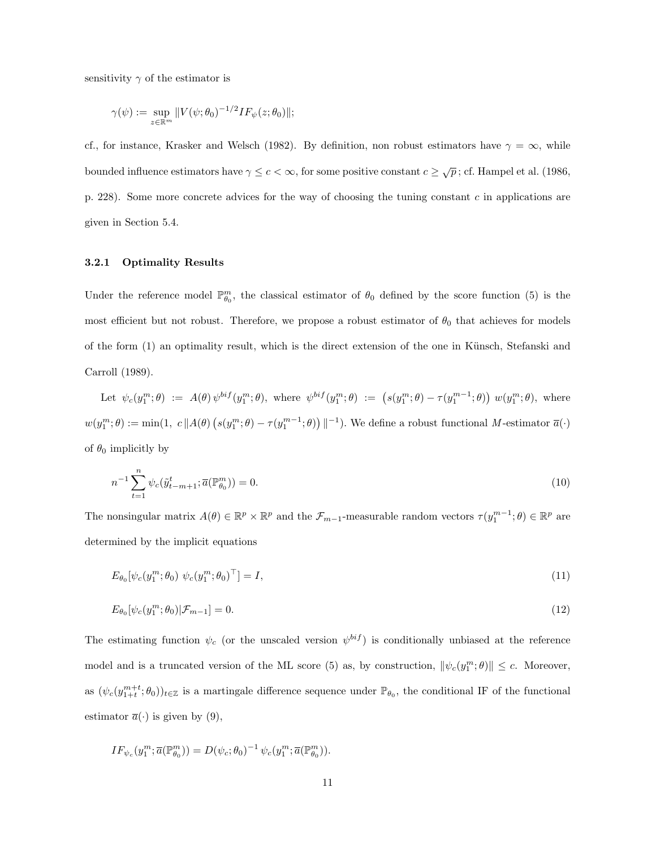sensitivity  $\gamma$  of the estimator is

$$
\gamma(\psi):=\sup_{z\in\mathbb{R}^m}\|V(\psi;\theta_0)^{-1/2}IF_{\psi}(z;\theta_0)\|;
$$

cf., for instance, Krasker and Welsch (1982). By definition, non robust estimators have  $\gamma = \infty$ , while bounded influence estimators have  $\gamma \leq c < \infty$ , for some positive constant  $c \geq \sqrt{p}$ ; cf. Hampel et al. (1986, p. 228). Some more concrete advices for the way of choosing the tuning constant c in applications are given in Section 5.4.

#### 3.2.1 Optimality Results

Under the reference model  $\mathbb{P}_{\theta_0}^m$ , the classical estimator of  $\theta_0$  defined by the score function (5) is the most efficient but not robust. Therefore, we propose a robust estimator of  $\theta_0$  that achieves for models of the form (1) an optimality result, which is the direct extension of the one in Künsch, Stefanski and Carroll (1989).

Let  $\psi_c(y_1^m; \theta) := A(\theta) \psi^{bif}(y_1^m; \theta)$ , where  $\psi^{bif}(y_1^m; \theta) := (s(y_1^m; \theta) - \tau(y_1^{m-1}; \theta))$ ¢  $w(y_1^m; \theta)$ , where  $w(y_1^m; \theta) := \min(1, c \, \|A(\theta))$ ¡  $s(y_1^m; \theta) - \tau(y_1^{m-1}; \theta)$ ¢  $\parallel^{-1}$ ). We define a robust functional M-estimator  $\overline{a}(\cdot)$ of  $\theta_0$  implicitly by

$$
n^{-1} \sum_{t=1}^{n} \psi_c(\tilde{y}_{t-m+1}^t; \overline{a}(\mathbb{P}_{\theta_0}^m)) = 0.
$$
 (10)

The nonsingular matrix  $A(\theta) \in \mathbb{R}^p \times \mathbb{R}^p$  and the  $\mathcal{F}_{m-1}$ -measurable random vectors  $\tau(y_1^{m-1};\theta) \in \mathbb{R}^p$  are determined by the implicit equations

$$
E_{\theta_0}[\psi_c(y_1^m; \theta_0) \ \psi_c(y_1^m; \theta_0)^\top] = I,\tag{11}
$$

$$
E_{\theta_0}[\psi_c(y_1^m; \theta_0)|\mathcal{F}_{m-1}] = 0. \tag{12}
$$

The estimating function  $\psi_c$  (or the unscaled version  $\psi^{bif}$ ) is conditionally unbiased at the reference model and is a truncated version of the ML score (5) as, by construction,  $\|\psi_c(y_1^m;\theta)\| \leq c$ . Moreover, as  $(\psi_c(y_{1+t}^{m+t}; \theta_0))_{t \in \mathbb{Z}}$  is a martingale difference sequence under  $\mathbb{P}_{\theta_0}$ , the conditional IF of the functional estimator  $\overline{a}(\cdot)$  is given by (9),

$$
IF_{\psi_c}(y_1^m; \overline{a}(\mathbb{P}_{\theta_0}^m)) = D(\psi_c; \theta_0)^{-1} \psi_c(y_1^m; \overline{a}(\mathbb{P}_{\theta_0}^m)).
$$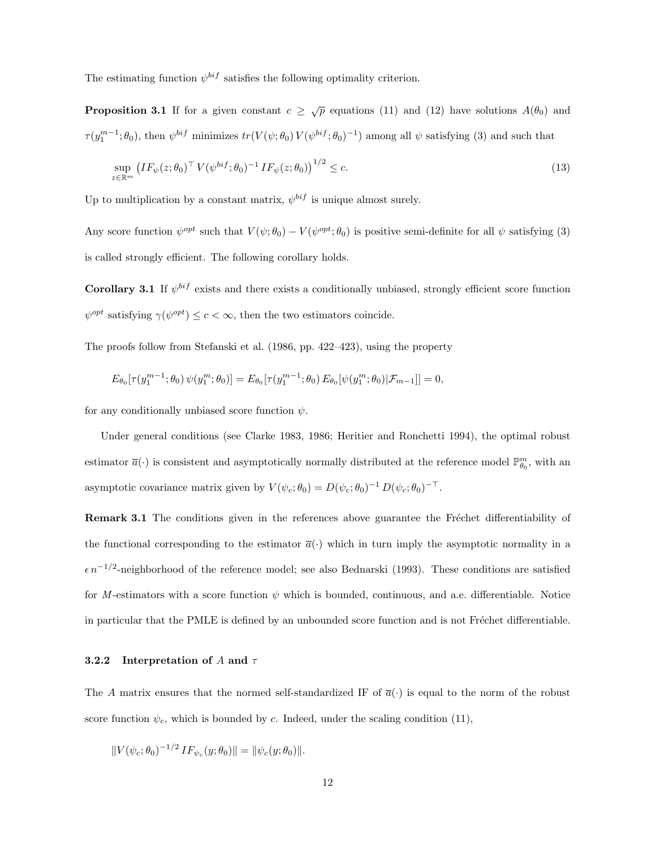The estimating function  $\psi^{bif}$  satisfies the following optimality criterion.

**Proposition 3.1** If for a given constant  $c \geq \sqrt{p}$  equations (11) and (12) have solutions  $A(\theta_0)$  and  $\tau(y_1^{m-1};\theta_0)$ , then  $\psi^{bif}$  minimizes  $tr(V(\psi;\theta_0)V(\psi^{bif};\theta_0)^{-1})$  among all  $\psi$  satisfying (3) and such that

$$
\sup_{z \in \mathbb{R}^m} \left( IF_{\psi}(z; \theta_0)^\top V(\psi^{bif}; \theta_0)^{-1} IF_{\psi}(z; \theta_0) \right)^{1/2} \le c. \tag{13}
$$

Up to multiplication by a constant matrix,  $\psi^{bif}$  is unique almost surely.

Any score function  $\psi^{opt}$  such that  $V(\psi;\theta_0) - V(\psi^{opt};\theta_0)$  is positive semi-definite for all  $\psi$  satisfying (3) is called strongly efficient. The following corollary holds.

**Corollary 3.1** If  $\psi^{bif}$  exists and there exists a conditionally unbiased, strongly efficient score function  $\psi^{opt}$  satisfying  $\gamma(\psi^{opt}) \leq c < \infty$ , then the two estimators coincide.

The proofs follow from Stefanski et al. (1986, pp. 422–423), using the property

$$
E_{\theta_0}[\tau(y_1^{m-1};\theta_0) \, \psi(y_1^m;\theta_0)] = E_{\theta_0}[\tau(y_1^{m-1};\theta_0) \, E_{\theta_0}[\psi(y_1^m;\theta_0)|\mathcal{F}_{m-1}]] = 0,
$$

for any conditionally unbiased score function  $\psi$ .

Under general conditions (see Clarke 1983, 1986; Heritier and Ronchetti 1994), the optimal robust estimator  $\bar{a}(\cdot)$  is consistent and asymptotically normally distributed at the reference model  $\mathbb{P}_{\theta_0}^m$ , with an asymptotic covariance matrix given by  $V(\psi_c; \theta_0) = D(\psi_c; \theta_0)^{-1} D(\psi_c; \theta_0)^{-T}$ .

**Remark 3.1** The conditions given in the references above guarantee the Fréchet differentiability of the functional corresponding to the estimator  $\bar{a}(\cdot)$  which in turn imply the asymptotic normality in a  $\epsilon n^{-1/2}$ -neighborhood of the reference model; see also Bednarski (1993). These conditions are satisfied for M-estimators with a score function  $\psi$  which is bounded, continuous, and a.e. differentiable. Notice in particular that the PMLE is defined by an unbounded score function and is not Fréchet differentiable.

#### 3.2.2 Interpretation of A and  $\tau$

The A matrix ensures that the normed self-standardized IF of  $\bar{a}(\cdot)$  is equal to the norm of the robust score function  $\psi_c$ , which is bounded by c. Indeed, under the scaling condition (11),

$$
||V(\psi_c; \theta_0)^{-1/2} I F_{\psi_c}(y; \theta_0)|| = ||\psi_c(y; \theta_0)||.
$$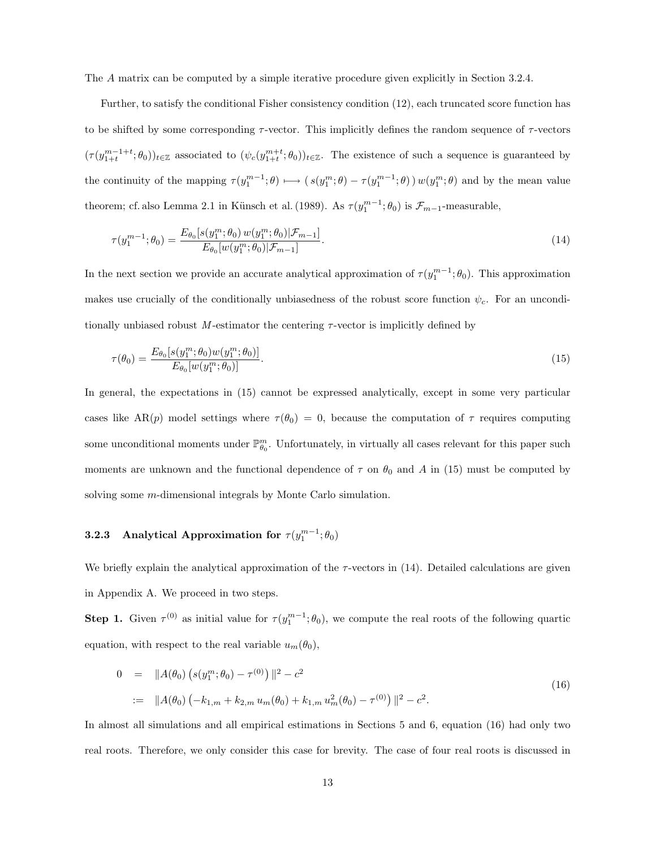The A matrix can be computed by a simple iterative procedure given explicitly in Section 3.2.4.

Further, to satisfy the conditional Fisher consistency condition (12), each truncated score function has to be shifted by some corresponding  $\tau$ -vector. This implicitly defines the random sequence of  $\tau$ -vectors  $(\tau(y_{1+t}^{m-1+t};\theta_0))_{t\in\mathbb{Z}}$  associated to  $(\psi_c(y_{1+t}^{m+t};\theta_0))_{t\in\mathbb{Z}}$ . The existence of such a sequence is guaranteed by the continuity of the mapping  $\tau(y_1^{m-1};\theta) \longmapsto (s(y_1^m;\theta) - \tau(y_1^{m-1};\theta)) w(y_1^m;\theta)$  and by the mean value theorem; cf. also Lemma 2.1 in Künsch et al. (1989). As  $\tau(y_1^{m-1}; \theta_0)$  is  $\mathcal{F}_{m-1}$ -measurable,

$$
\tau(y_1^{m-1}; \theta_0) = \frac{E_{\theta_0}[s(y_1^m; \theta_0) w(y_1^m; \theta_0)|\mathcal{F}_{m-1}]}{E_{\theta_0}[w(y_1^m; \theta_0)|\mathcal{F}_{m-1}]}.
$$
\n(14)

In the next section we provide an accurate analytical approximation of  $\tau(y_1^{m-1}; \theta_0)$ . This approximation makes use crucially of the conditionally unbiasedness of the robust score function  $\psi_c$ . For an unconditionally unbiased robust M-estimator the centering  $\tau$ -vector is implicitly defined by

$$
\tau(\theta_0) = \frac{E_{\theta_0}[s(y_1^m; \theta_0)w(y_1^m; \theta_0)]}{E_{\theta_0}[w(y_1^m; \theta_0)]}.
$$
\n(15)

In general, the expectations in (15) cannot be expressed analytically, except in some very particular cases like AR(p) model settings where  $\tau(\theta_0) = 0$ , because the computation of  $\tau$  requires computing some unconditional moments under  $\mathbb{P}_{\theta_0}^m$ . Unfortunately, in virtually all cases relevant for this paper such moments are unknown and the functional dependence of  $\tau$  on  $\theta_0$  and A in (15) must be computed by solving some *m*-dimensional integrals by Monte Carlo simulation.

# **3.2.3** Analytical Approximation for  $\tau(y_1^{m-1}; \theta_0)$

We briefly explain the analytical approximation of the  $\tau$ -vectors in (14). Detailed calculations are given in Appendix A. We proceed in two steps.

**Step 1.** Given  $\tau^{(0)}$  as initial value for  $\tau(y_1^{m-1}; \theta_0)$ , we compute the real roots of the following quartic equation, with respect to the real variable  $u_m(\theta_0)$ ,

$$
0 = ||A(\theta_0) (s(y_1^m; \theta_0) - \tau^{(0)})||^2 - c^2
$$
  
 := 
$$
||A(\theta_0) (-k_{1,m} + k_{2,m} u_m(\theta_0) + k_{1,m} u_m^2(\theta_0) - \tau^{(0)})||^2 - c^2.
$$
 (16)

In almost all simulations and all empirical estimations in Sections 5 and 6, equation (16) had only two real roots. Therefore, we only consider this case for brevity. The case of four real roots is discussed in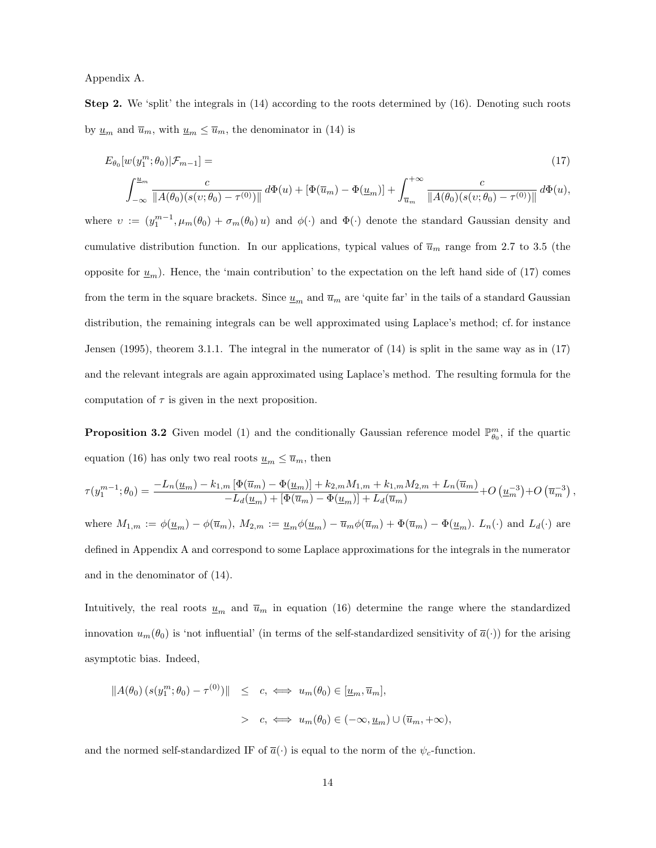Appendix A.

Step 2. We 'split' the integrals in (14) according to the roots determined by (16). Denoting such roots by  $\underline{u}_m$  and  $\overline{u}_m$ , with  $\underline{u}_m \leq \overline{u}_m$ , the denominator in (14) is

$$
E_{\theta_0}[w(y_1^m; \theta_0)|\mathcal{F}_{m-1}] =
$$
\n
$$
f^{\underline{u}_m} \qquad \qquad f^{\pm \infty} \qquad \qquad f^{\pm \infty}
$$
\n
$$
(17)
$$

$$
\int_{-\infty}^{\underline{u}_m} \frac{c}{\|A(\theta_0)(s(v;\theta_0) - \tau^{(0)})\|} d\Phi(u) + \left[\Phi(\overline{u}_m) - \Phi(\underline{u}_m)\right] + \int_{\overline{u}_m}^{+\infty} \frac{c}{\|A(\theta_0)(s(v;\theta_0) - \tau^{(0)})\|} d\Phi(u),
$$

where  $v := (y_1^{m-1}, \mu_m(\theta_0) + \sigma_m(\theta_0) u)$  and  $\phi(\cdot)$  and  $\Phi(\cdot)$  denote the standard Gaussian density and cumulative distribution function. In our applications, typical values of  $\overline{u}_m$  range from 2.7 to 3.5 (the opposite for  $\underline{u}_m$ ). Hence, the 'main contribution' to the expectation on the left hand side of (17) comes from the term in the square brackets. Since  $u_m$  and  $\overline{u}_m$  are 'quite far' in the tails of a standard Gaussian distribution, the remaining integrals can be well approximated using Laplace's method; cf. for instance Jensen (1995), theorem 3.1.1. The integral in the numerator of (14) is split in the same way as in (17) and the relevant integrals are again approximated using Laplace's method. The resulting formula for the computation of  $\tau$  is given in the next proposition.

**Proposition 3.2** Given model (1) and the conditionally Gaussian reference model  $\mathbb{P}_{\theta_0}^m$ , if the quartic equation (16) has only two real roots  $\underline{u}_m \leq \overline{u}_m$ , then

$$
\tau(y_1^{m-1}; \theta_0) = \frac{-L_n(\underline{u}_m) - k_{1,m} \left[\Phi(\overline{u}_m) - \Phi(\underline{u}_m)\right] + k_{2,m}M_{1,m} + k_{1,m}M_{2,m} + L_n(\overline{u}_m)}{-L_d(\underline{u}_m) + \left[\Phi(\overline{u}_m) - \Phi(\underline{u}_m)\right] + L_d(\overline{u}_m)} + O\left(\underline{u}_m^{-3}\right) + O\left(\overline{u}_m^{-3}\right),
$$
  
where  $M_{1,m} := \phi(\underline{u}_m) - \phi(\overline{u}_m)$ ,  $M_{2,m} := \underline{u}_m \phi(\underline{u}_m) - \overline{u}_m \phi(\overline{u}_m) + \Phi(\overline{u}_m) - \Phi(\underline{u}_m)$ .  $L_n(\cdot)$  and  $L_d(\cdot)$  are defined in Appendix A and correspond to some Laplace approximations for the integrals in the numerator

and in the denominator of (14).

Intuitively, the real roots  $\underline{u}_m$  and  $\overline{u}_m$  in equation (16) determine the range where the standardized innovation  $u_m(\theta_0)$  is 'not influential' (in terms of the self-standardized sensitivity of  $\bar{a}(\cdot)$ ) for the arising asymptotic bias. Indeed,

$$
\begin{array}{rcl}\n\|A(\theta_0)(s(y_1^m; \theta_0) - \tau^{(0)})\| & \leq & c, \iff u_m(\theta_0) \in [\underline{u}_m, \overline{u}_m], \\
&& > & c, \iff u_m(\theta_0) \in (-\infty, \underline{u}_m) \cup (\overline{u}_m, +\infty),\n\end{array}
$$

and the normed self-standardized IF of  $\bar{a}(\cdot)$  is equal to the norm of the  $\psi_c$ -function.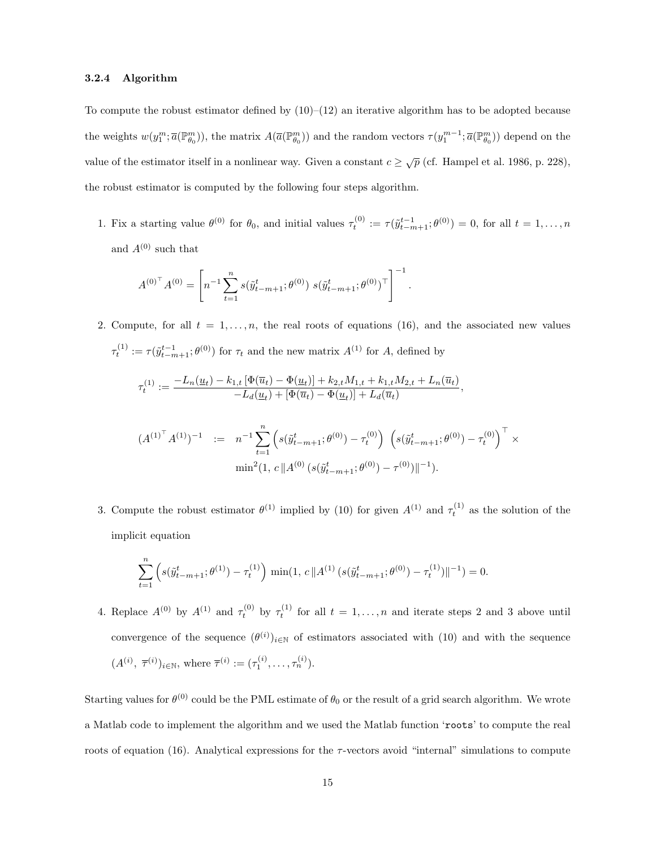#### 3.2.4 Algorithm

To compute the robust estimator defined by  $(10)$ – $(12)$  an iterative algorithm has to be adopted because the weights  $w(y_1^m; \overline{a}(\mathbb{P}_{\theta_0}^m))$ , the matrix  $A(\overline{a}(\mathbb{P}_{\theta_0}^m))$  and the random vectors  $\tau(y_1^{m-1}; \overline{a}(\mathbb{P}_{\theta_0}^m))$  depend on the value of the estimator itself in a nonlinear way. Given a constant  $c \geq \sqrt{p}$  (cf. Hampel et al. 1986, p. 228), the robust estimator is computed by the following four steps algorithm.

1. Fix a starting value  $\theta^{(0)}$  for  $\theta_0$ , and initial values  $\tau_t^{(0)} := \tau(\tilde{y}_{t-m+1}^{t-1}; \theta^{(0)}) = 0$ , for all  $t = 1, \ldots, n$ and  ${\cal A}^{(0)}$  such that

$$
{A^{(0)}}^{\top} A^{(0)} = \left[ n^{-1} \sum_{t=1}^n s(\tilde{y}_{t-m+1}^t; \theta^{(0)}) \ s(\tilde{y}_{t-m+1}^t; \theta^{(0)})^{\top} \right]^{-1}.
$$

2. Compute, for all  $t = 1, \ldots, n$ , the real roots of equations (16), and the associated new values  $\tau_t^{(1)} := \tau(\tilde{y}_{t-m+1}^{t-1}; \theta^{(0)})$  for  $\tau_t$  and the new matrix  $A^{(1)}$  for A, defined by

$$
\tau_t^{(1)} := \frac{-L_n(\underline{u}_t) - k_{1,t} \left[ \Phi(\overline{u}_t) - \Phi(\underline{u}_t) \right] + k_{2,t} M_{1,t} + k_{1,t} M_{2,t} + L_n(\overline{u}_t) - L_d(\underline{u}_t) + \left[ \Phi(\overline{u}_t) - \Phi(\underline{u}_t) \right] + L_d(\overline{u}_t)},
$$

$$
(A^{(1)^{\top}} A^{(1)})^{-1} := n^{-1} \sum_{t=1}^{n} \left( s(\tilde{y}_{t-m+1}^{t}; \theta^{(0)}) - \tau_{t}^{(0)} \right) \left( s(\tilde{y}_{t-m+1}^{t}; \theta^{(0)}) - \tau_{t}^{(0)} \right)^{\top} \times \min^{2}(1, c \| A^{(0)} \left( s(\tilde{y}_{t-m+1}^{t}; \theta^{(0)}) - \tau^{(0)} \right) \|^{-1}).
$$

3. Compute the robust estimator  $\theta^{(1)}$  implied by (10) for given  $A^{(1)}$  and  $\tau_t^{(1)}$  as the solution of the implicit equation

$$
\sum_{t=1}^{n} \left( s(\tilde{y}_{t-m+1}^{t}; \theta^{(1)}) - \tau_t^{(1)} \right) \min(1, c \| A^{(1)} \left( s(\tilde{y}_{t-m+1}^{t}; \theta^{(0)}) - \tau_t^{(1)} \right) \|^{-1}) = 0.
$$

4. Replace  $A^{(0)}$  by  $A^{(1)}$  and  $\tau_t^{(0)}$  by  $\tau_t^{(1)}$  for all  $t = 1, \ldots, n$  and iterate steps 2 and 3 above until convergence of the sequence  $(\theta^{(i)})_{i\in\mathbb{N}}$  of estimators associated with (10) and with the sequence  $(A^{(i)}, \ \overline{\tau}^{(i)})_{i \in \mathbb{N}}, \text{ where } \overline{\tau}^{(i)} := (\tau_1^{(i)}, \dots, \tau_n^{(i)}).$ 

Starting values for  $\theta^{(0)}$  could be the PML estimate of  $\theta_0$  or the result of a grid search algorithm. We wrote a Matlab code to implement the algorithm and we used the Matlab function 'roots' to compute the real roots of equation  $(16)$ . Analytical expressions for the  $\tau$ -vectors avoid "internal" simulations to compute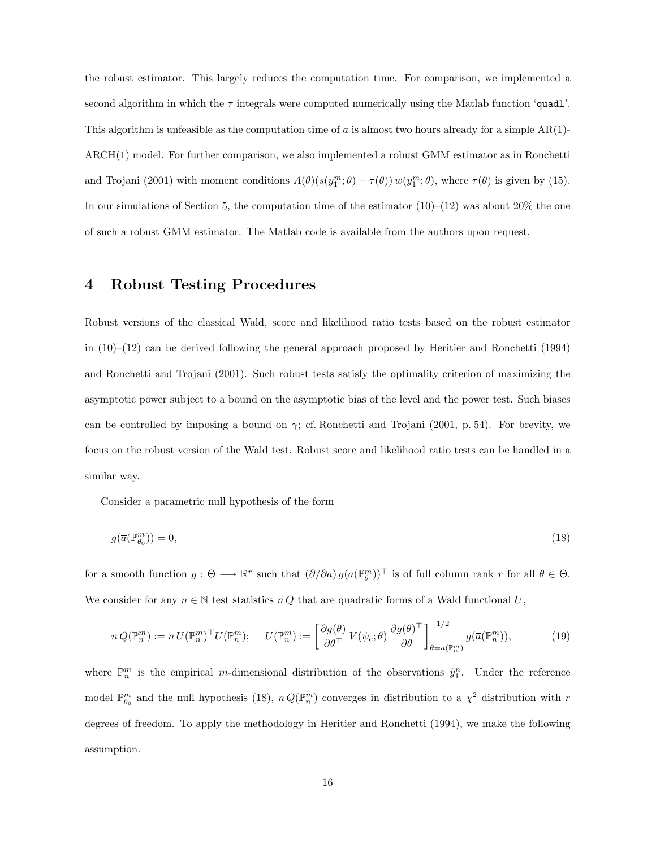the robust estimator. This largely reduces the computation time. For comparison, we implemented a second algorithm in which the  $\tau$  integrals were computed numerically using the Matlab function 'quadl'. This algorithm is unfeasible as the computation time of  $\bar{a}$  is almost two hours already for a simple AR(1)-ARCH(1) model. For further comparison, we also implemented a robust GMM estimator as in Ronchetti and Trojani (2001) with moment conditions  $A(\theta)(s(y_1^m; \theta) - \tau(\theta)) w(y_1^m; \theta)$ , where  $\tau(\theta)$  is given by (15). In our simulations of Section 5, the computation time of the estimator  $(10)–(12)$  was about 20% the one of such a robust GMM estimator. The Matlab code is available from the authors upon request.

# 4 Robust Testing Procedures

Robust versions of the classical Wald, score and likelihood ratio tests based on the robust estimator in (10)–(12) can be derived following the general approach proposed by Heritier and Ronchetti (1994) and Ronchetti and Trojani (2001). Such robust tests satisfy the optimality criterion of maximizing the asymptotic power subject to a bound on the asymptotic bias of the level and the power test. Such biases can be controlled by imposing a bound on  $\gamma$ ; cf. Ronchetti and Trojani (2001, p. 54). For brevity, we focus on the robust version of the Wald test. Robust score and likelihood ratio tests can be handled in a similar way.

Consider a parametric null hypothesis of the form

$$
g(\overline{a}(\mathbb{P}_{\theta_0}^m)) = 0,\tag{18}
$$

for a smooth function  $g: \Theta \longrightarrow \mathbb{R}^r$  such that  $(\partial/\partial \overline{a}) g(\overline{a}(\mathbb{P}_{\theta}^m))^{\top}$  is of full column rank r for all  $\theta \in \Theta$ . We consider for any  $n \in \mathbb{N}$  test statistics  $nQ$  that are quadratic forms of a Wald functional U,

$$
n Q(\mathbb{P}_n^m) := n U(\mathbb{P}_n^m)^\top U(\mathbb{P}_n^m); \qquad U(\mathbb{P}_n^m) := \left[ \frac{\partial g(\theta)}{\partial \theta^\top} V(\psi_c; \theta) \frac{\partial g(\theta)^\top}{\partial \theta} \right]_{\theta = \overline{a}(\mathbb{P}_n^m)}^{-1/2} g(\overline{a}(\mathbb{P}_n^m)), \tag{19}
$$

where  $\mathbb{P}_n^m$  is the empirical m-dimensional distribution of the observations  $\tilde{y}_1^n$ . Under the reference model  $\mathbb{P}_{\theta_0}^m$  and the null hypothesis (18),  $n Q(\mathbb{P}_n^m)$  converges in distribution to a  $\chi^2$  distribution with r degrees of freedom. To apply the methodology in Heritier and Ronchetti (1994), we make the following assumption.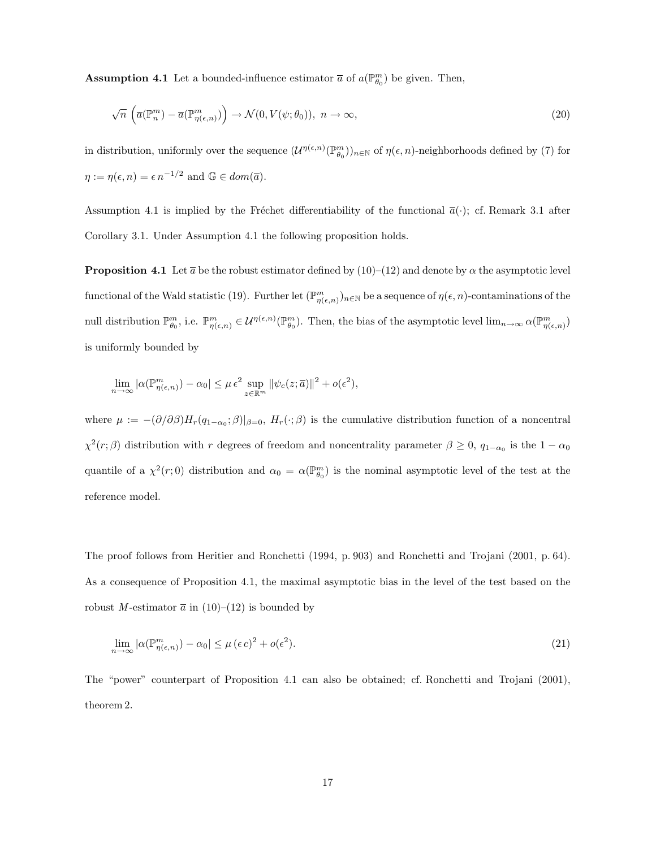**Assumption 4.1** Let a bounded-influence estimator  $\bar{a}$  of  $a(\mathbb{P}_{\theta_0}^m)$  be given. Then,

$$
\sqrt{n}\left(\overline{a}(\mathbb{P}_n^m) - \overline{a}(\mathbb{P}_{\eta(\epsilon,n)}^m)\right) \to \mathcal{N}(0, V(\psi; \theta_0)),\ n \to \infty,
$$
\n(20)

in distribution, uniformly over the sequence  $(\mathcal{U}^{\eta(\epsilon,n)}(\mathbb{P}_{\theta_0}^m))_{n\in\mathbb{N}}$  of  $\eta(\epsilon,n)$ -neighborhoods defined by (7) for  $\eta := \eta(\epsilon, n) = \epsilon n^{-1/2}$  and  $\mathbb{G} \in dom(\overline{a})$ .

Assumption 4.1 is implied by the Fréchet differentiability of the functional  $\bar{a}(\cdot)$ ; cf. Remark 3.1 after Corollary 3.1. Under Assumption 4.1 the following proposition holds.

**Proposition 4.1** Let  $\bar{a}$  be the robust estimator defined by (10)–(12) and denote by  $\alpha$  the asymptotic level functional of the Wald statistic (19). Further let  $(\mathbb{P}_{\eta(\epsilon,n)}^m)_{n\in\mathbb{N}}$  be a sequence of  $\eta(\epsilon,n)$ -contaminations of the null distribution  $\mathbb{P}^m_{\theta_0}$ , i.e.  $\mathbb{P}^m_{\eta(\epsilon,n)} \in \mathcal{U}^{\eta(\epsilon,n)}(\mathbb{P}^m_{\theta_0})$ . Then, the bias of the asymptotic level  $\lim_{n\to\infty} \alpha(\mathbb{P}^m_{\eta(\epsilon,n)})$ is uniformly bounded by

$$
\lim_{n \to \infty} |\alpha(\mathbb{P}_{\eta(\epsilon,n)}^m) - \alpha_0| \le \mu \epsilon^2 \sup_{z \in \mathbb{R}^m} ||\psi_c(z; \overline{a})||^2 + o(\epsilon^2),
$$

where  $\mu := -(\partial/\partial \beta)H_r(q_{1-\alpha_0};\beta)|_{\beta=0}, H_r(\cdot;\beta)$  is the cumulative distribution function of a noncentral  $\chi^2(r;\beta)$  distribution with r degrees of freedom and noncentrality parameter  $\beta \geq 0$ ,  $q_{1-\alpha_0}$  is the  $1-\alpha_0$ quantile of a  $\chi^2(r;0)$  distribution and  $\alpha_0 = \alpha(\mathbb{P}_{\theta_0}^m)$  is the nominal asymptotic level of the test at the reference model.

The proof follows from Heritier and Ronchetti (1994, p. 903) and Ronchetti and Trojani (2001, p. 64). As a consequence of Proposition 4.1, the maximal asymptotic bias in the level of the test based on the robust M-estimator  $\bar{a}$  in (10)–(12) is bounded by

$$
\lim_{n \to \infty} |\alpha(\mathbb{P}_{\eta(\epsilon,n)}^m) - \alpha_0| \le \mu(\epsilon c)^2 + o(\epsilon^2). \tag{21}
$$

The "power" counterpart of Proposition 4.1 can also be obtained; cf. Ronchetti and Trojani (2001), theorem 2.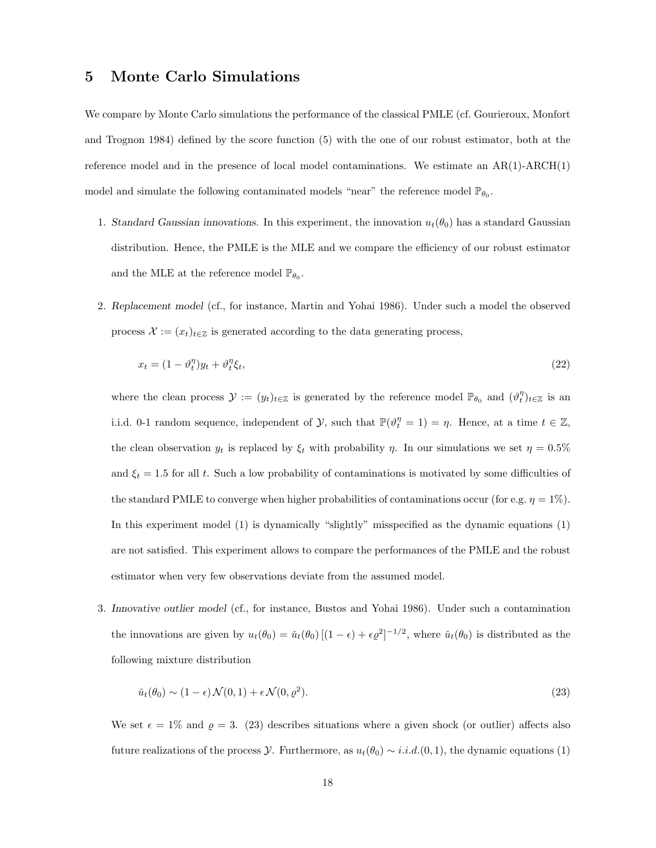## 5 Monte Carlo Simulations

We compare by Monte Carlo simulations the performance of the classical PMLE (cf. Gourieroux, Monfort and Trognon 1984) defined by the score function (5) with the one of our robust estimator, both at the reference model and in the presence of local model contaminations. We estimate an  $AR(1)$ - $ARCH(1)$ model and simulate the following contaminated models "near" the reference model  $\mathbb{P}_{\theta_0}$ .

- 1. Standard Gaussian innovations. In this experiment, the innovation  $u_t(\theta_0)$  has a standard Gaussian distribution. Hence, the PMLE is the MLE and we compare the efficiency of our robust estimator and the MLE at the reference model  $\mathbb{P}_{\theta_0}$ .
- 2. Replacement model (cf., for instance, Martin and Yohai 1986). Under such a model the observed process  $\mathcal{X} := (x_t)_{t \in \mathbb{Z}}$  is generated according to the data generating process,

$$
x_t = (1 - \vartheta_t^{\eta})y_t + \vartheta_t^{\eta}\xi_t,\tag{22}
$$

where the clean process  $\mathcal{Y} := (y_t)_{t \in \mathbb{Z}}$  is generated by the reference model  $\mathbb{P}_{\theta_0}$  and  $(\vartheta_t^{\eta})_{t \in \mathbb{Z}}$  is an i.i.d. 0-1 random sequence, independent of  $\mathcal{Y}$ , such that  $\mathbb{P}(\vartheta_t^{\eta} = 1) = \eta$ . Hence, at a time  $t \in \mathbb{Z}$ , the clean observation  $y_t$  is replaced by  $\xi_t$  with probability  $\eta$ . In our simulations we set  $\eta = 0.5\%$ and  $\xi_t = 1.5$  for all t. Such a low probability of contaminations is motivated by some difficulties of the standard PMLE to converge when higher probabilities of contaminations occur (for e.g.  $\eta = 1\%$ ). In this experiment model (1) is dynamically "slightly" misspecified as the dynamic equations (1) are not satisfied. This experiment allows to compare the performances of the PMLE and the robust estimator when very few observations deviate from the assumed model.

3. Innovative outlier model (cf., for instance, Bustos and Yohai 1986). Under such a contamination the innovations are given by  $u_t(\theta_0) = \check{u}_t(\theta_0) \left[ (1 - \epsilon) + \epsilon \varrho^2 \right]^{-1/2}$ , where  $\check{u}_t(\theta_0)$  is distributed as the following mixture distribution

$$
\check{u}_t(\theta_0) \sim (1 - \epsilon) \mathcal{N}(0, 1) + \epsilon \mathcal{N}(0, \varrho^2). \tag{23}
$$

We set  $\epsilon = 1\%$  and  $\rho = 3.$  (23) describes situations where a given shock (or outlier) affects also future realizations of the process  $\mathcal Y$ . Furthermore, as  $u_t(\theta_0) \sim i.i.d.$  (0, 1), the dynamic equations (1)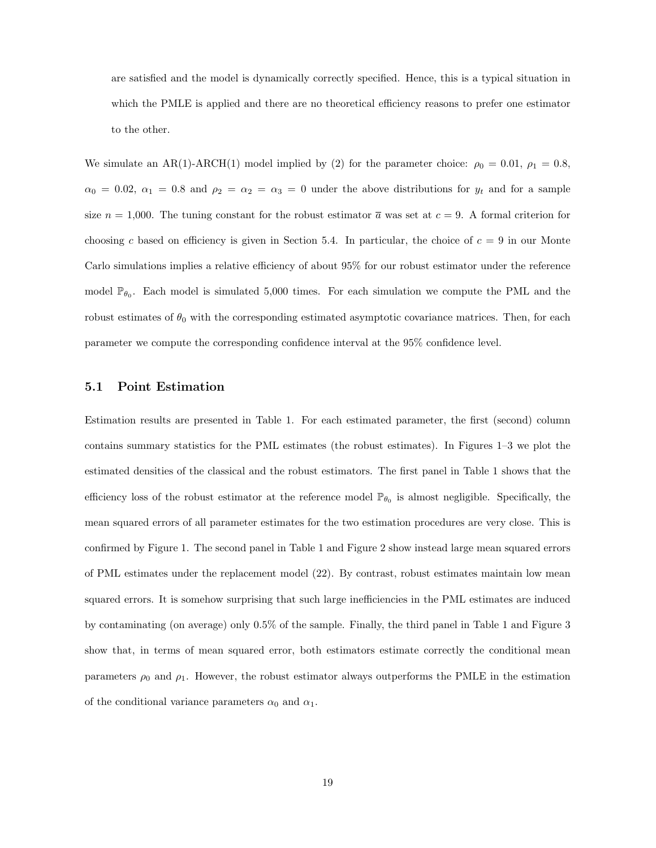are satisfied and the model is dynamically correctly specified. Hence, this is a typical situation in which the PMLE is applied and there are no theoretical efficiency reasons to prefer one estimator to the other.

We simulate an AR(1)-ARCH(1) model implied by (2) for the parameter choice:  $\rho_0 = 0.01$ ,  $\rho_1 = 0.8$ ,  $\alpha_0 = 0.02, \ \alpha_1 = 0.8$  and  $\rho_2 = \alpha_2 = \alpha_3 = 0$  under the above distributions for  $y_t$  and for a sample size  $n = 1,000$ . The tuning constant for the robust estimator  $\bar{a}$  was set at  $c = 9$ . A formal criterion for choosing c based on efficiency is given in Section 5.4. In particular, the choice of  $c = 9$  in our Monte Carlo simulations implies a relative efficiency of about 95% for our robust estimator under the reference model  $\mathbb{P}_{\theta_0}$ . Each model is simulated 5,000 times. For each simulation we compute the PML and the robust estimates of  $\theta_0$  with the corresponding estimated asymptotic covariance matrices. Then, for each parameter we compute the corresponding confidence interval at the 95% confidence level.

## 5.1 Point Estimation

Estimation results are presented in Table 1. For each estimated parameter, the first (second) column contains summary statistics for the PML estimates (the robust estimates). In Figures 1–3 we plot the estimated densities of the classical and the robust estimators. The first panel in Table 1 shows that the efficiency loss of the robust estimator at the reference model  $\mathbb{P}_{\theta_0}$  is almost negligible. Specifically, the mean squared errors of all parameter estimates for the two estimation procedures are very close. This is confirmed by Figure 1. The second panel in Table 1 and Figure 2 show instead large mean squared errors of PML estimates under the replacement model (22). By contrast, robust estimates maintain low mean squared errors. It is somehow surprising that such large inefficiencies in the PML estimates are induced by contaminating (on average) only 0.5% of the sample. Finally, the third panel in Table 1 and Figure 3 show that, in terms of mean squared error, both estimators estimate correctly the conditional mean parameters  $\rho_0$  and  $\rho_1$ . However, the robust estimator always outperforms the PMLE in the estimation of the conditional variance parameters  $\alpha_0$  and  $\alpha_1$ .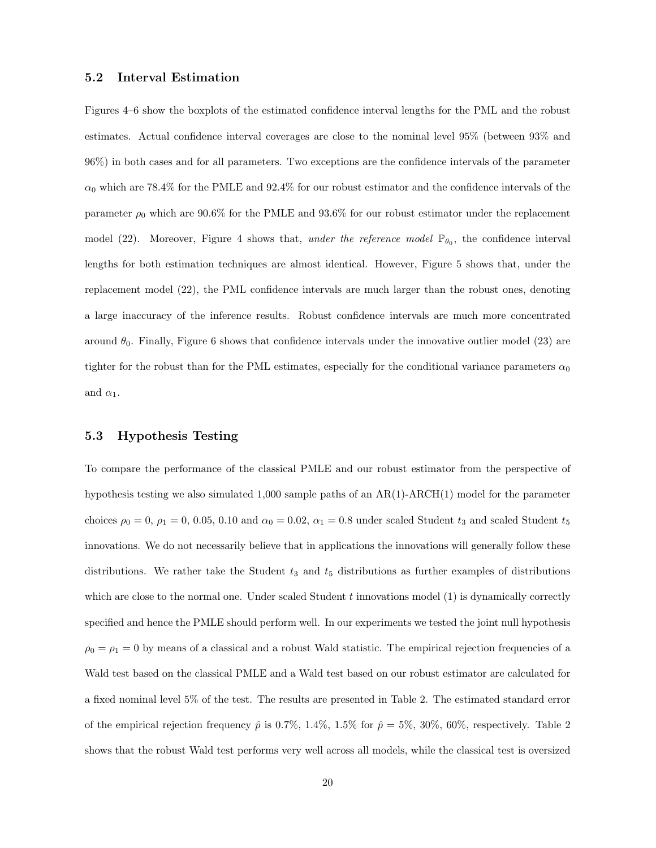#### 5.2 Interval Estimation

Figures 4–6 show the boxplots of the estimated confidence interval lengths for the PML and the robust estimates. Actual confidence interval coverages are close to the nominal level 95% (between 93% and 96%) in both cases and for all parameters. Two exceptions are the confidence intervals of the parameter  $\alpha_0$  which are 78.4% for the PMLE and 92.4% for our robust estimator and the confidence intervals of the parameter  $\rho_0$  which are 90.6% for the PMLE and 93.6% for our robust estimator under the replacement model (22). Moreover, Figure 4 shows that, under the reference model  $\mathbb{P}_{\theta_0}$ , the confidence interval lengths for both estimation techniques are almost identical. However, Figure 5 shows that, under the replacement model (22), the PML confidence intervals are much larger than the robust ones, denoting a large inaccuracy of the inference results. Robust confidence intervals are much more concentrated around  $\theta_0$ . Finally, Figure 6 shows that confidence intervals under the innovative outlier model (23) are tighter for the robust than for the PML estimates, especially for the conditional variance parameters  $\alpha_0$ and  $\alpha_1$ .

### 5.3 Hypothesis Testing

To compare the performance of the classical PMLE and our robust estimator from the perspective of hypothesis testing we also simulated 1,000 sample paths of an  $AR(1)$ - $ARCH(1)$  model for the parameter choices  $\rho_0 = 0$ ,  $\rho_1 = 0$ , 0.05, 0.10 and  $\alpha_0 = 0.02$ ,  $\alpha_1 = 0.8$  under scaled Student  $t_3$  and scaled Student  $t_5$ innovations. We do not necessarily believe that in applications the innovations will generally follow these distributions. We rather take the Student  $t_3$  and  $t_5$  distributions as further examples of distributions which are close to the normal one. Under scaled Student  $t$  innovations model  $(1)$  is dynamically correctly specified and hence the PMLE should perform well. In our experiments we tested the joint null hypothesis  $\rho_0 = \rho_1 = 0$  by means of a classical and a robust Wald statistic. The empirical rejection frequencies of a Wald test based on the classical PMLE and a Wald test based on our robust estimator are calculated for a fixed nominal level 5% of the test. The results are presented in Table 2. The estimated standard error of the empirical rejection frequency  $\hat{p}$  is 0.7%, 1.4%, 1.5% for  $\hat{p} = 5\%$ , 30%, 60%, respectively. Table 2 shows that the robust Wald test performs very well across all models, while the classical test is oversized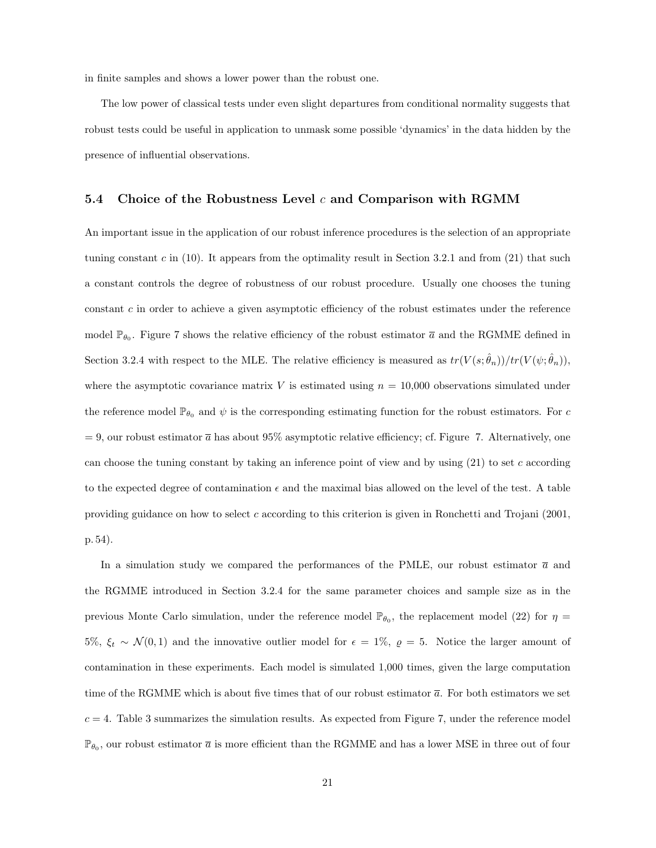in finite samples and shows a lower power than the robust one.

The low power of classical tests under even slight departures from conditional normality suggests that robust tests could be useful in application to unmask some possible 'dynamics' in the data hidden by the presence of influential observations.

#### 5.4 Choice of the Robustness Level  $c$  and Comparison with RGMM

An important issue in the application of our robust inference procedures is the selection of an appropriate tuning constant  $c$  in (10). It appears from the optimality result in Section 3.2.1 and from (21) that such a constant controls the degree of robustness of our robust procedure. Usually one chooses the tuning constant  $c$  in order to achieve a given asymptotic efficiency of the robust estimates under the reference model  $\mathbb{P}_{\theta_0}$ . Figure 7 shows the relative efficiency of the robust estimator  $\bar{a}$  and the RGMME defined in Section 3.2.4 with respect to the MLE. The relative efficiency is measured as  $tr(V(s; \hat{\theta}_n))/tr(V(\psi; \hat{\theta}_n))$ , where the asymptotic covariance matrix V is estimated using  $n = 10,000$  observations simulated under the reference model  $\mathbb{P}_{\theta_0}$  and  $\psi$  is the corresponding estimating function for the robust estimators. For c  $= 9$ , our robust estimator  $\bar{a}$  has about 95% asymptotic relative efficiency; cf. Figure 7. Alternatively, one can choose the tuning constant by taking an inference point of view and by using  $(21)$  to set c according to the expected degree of contamination  $\epsilon$  and the maximal bias allowed on the level of the test. A table providing guidance on how to select c according to this criterion is given in Ronchetti and Trojani (2001, p. 54).

In a simulation study we compared the performances of the PMLE, our robust estimator  $\bar{a}$  and the RGMME introduced in Section 3.2.4 for the same parameter choices and sample size as in the previous Monte Carlo simulation, under the reference model  $\mathbb{P}_{\theta_0}$ , the replacement model (22) for  $\eta$ 5%,  $\xi_t \sim \mathcal{N}(0, 1)$  and the innovative outlier model for  $\epsilon = 1\%$ ,  $\varrho = 5$ . Notice the larger amount of contamination in these experiments. Each model is simulated 1,000 times, given the large computation time of the RGMME which is about five times that of our robust estimator  $\bar{a}$ . For both estimators we set  $c = 4$ . Table 3 summarizes the simulation results. As expected from Figure 7, under the reference model  $\mathbb{P}_{\theta_0}$ , our robust estimator  $\overline{a}$  is more efficient than the RGMME and has a lower MSE in three out of four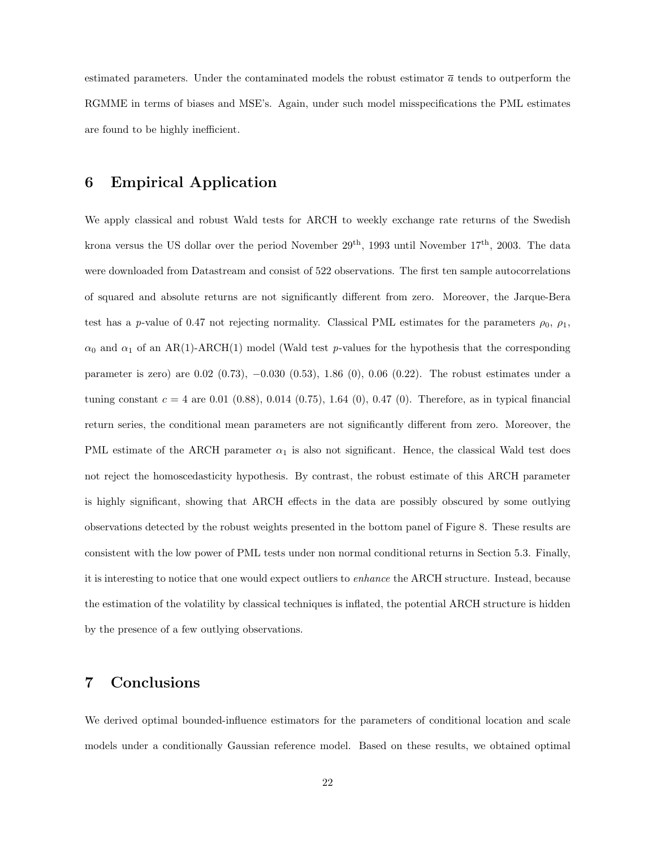estimated parameters. Under the contaminated models the robust estimator  $\bar{a}$  tends to outperform the RGMME in terms of biases and MSE's. Again, under such model misspecifications the PML estimates are found to be highly inefficient.

# 6 Empirical Application

We apply classical and robust Wald tests for ARCH to weekly exchange rate returns of the Swedish krona versus the US dollar over the period November  $29^{th}$ , 1993 until November  $17^{th}$ , 2003. The data were downloaded from Datastream and consist of 522 observations. The first ten sample autocorrelations of squared and absolute returns are not significantly different from zero. Moreover, the Jarque-Bera test has a p-value of 0.47 not rejecting normality. Classical PML estimates for the parameters  $\rho_0$ ,  $\rho_1$ ,  $\alpha_0$  and  $\alpha_1$  of an AR(1)-ARCH(1) model (Wald test p-values for the hypothesis that the corresponding parameter is zero) are 0.02 (0.73), −0.030 (0.53), 1.86 (0), 0.06 (0.22). The robust estimates under a tuning constant  $c = 4$  are 0.01 (0.88), 0.014 (0.75), 1.64 (0), 0.47 (0). Therefore, as in typical financial return series, the conditional mean parameters are not significantly different from zero. Moreover, the PML estimate of the ARCH parameter  $\alpha_1$  is also not significant. Hence, the classical Wald test does not reject the homoscedasticity hypothesis. By contrast, the robust estimate of this ARCH parameter is highly significant, showing that ARCH effects in the data are possibly obscured by some outlying observations detected by the robust weights presented in the bottom panel of Figure 8. These results are consistent with the low power of PML tests under non normal conditional returns in Section 5.3. Finally, it is interesting to notice that one would expect outliers to enhance the ARCH structure. Instead, because the estimation of the volatility by classical techniques is inflated, the potential ARCH structure is hidden by the presence of a few outlying observations.

# 7 Conclusions

We derived optimal bounded-influence estimators for the parameters of conditional location and scale models under a conditionally Gaussian reference model. Based on these results, we obtained optimal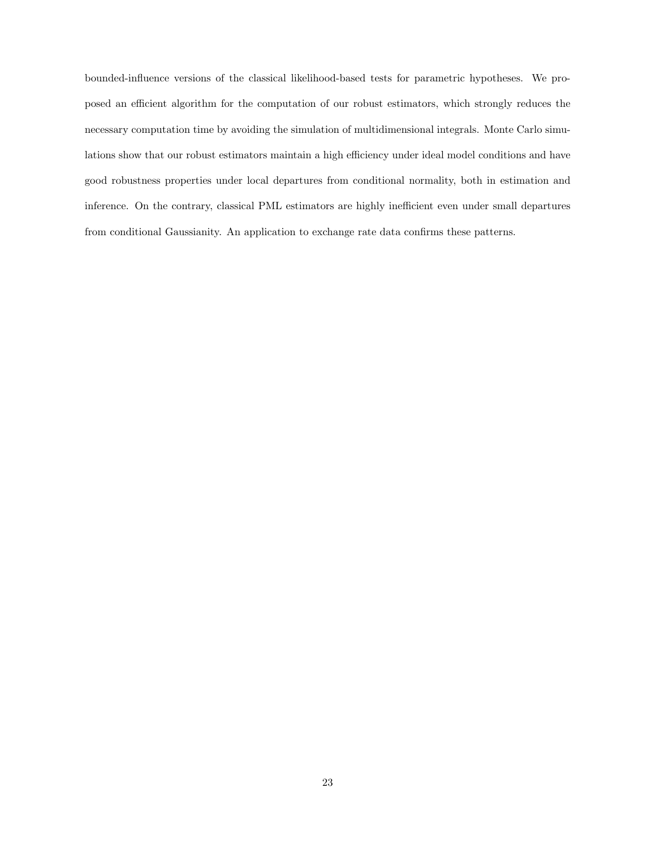bounded-influence versions of the classical likelihood-based tests for parametric hypotheses. We proposed an efficient algorithm for the computation of our robust estimators, which strongly reduces the necessary computation time by avoiding the simulation of multidimensional integrals. Monte Carlo simulations show that our robust estimators maintain a high efficiency under ideal model conditions and have good robustness properties under local departures from conditional normality, both in estimation and inference. On the contrary, classical PML estimators are highly inefficient even under small departures from conditional Gaussianity. An application to exchange rate data confirms these patterns.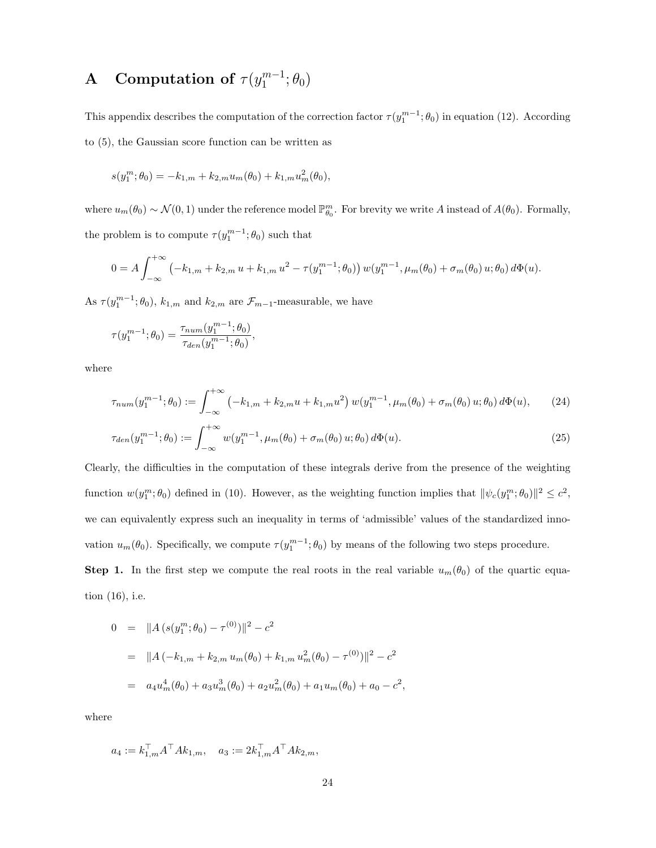#### **A** Computation of  $\tau(y_1^{m-1})$  $_1^{m-1}$ ;  $\theta_0$ )

This appendix describes the computation of the correction factor  $\tau(y_1^{m-1}; \theta_0)$  in equation (12). According to (5), the Gaussian score function can be written as

$$
s(y_1^m; \theta_0) = -k_{1,m} + k_{2,m} u_m(\theta_0) + k_{1,m} u_m^2(\theta_0),
$$

where  $u_m(\theta_0) \sim \mathcal{N}(0, 1)$  under the reference model  $\mathbb{P}_{\theta_0}^m$ . For brevity we write A instead of  $A(\theta_0)$ . Formally, the problem is to compute  $\tau(y_1^{m-1}; \theta_0)$  such that

$$
0 = A \int_{-\infty}^{+\infty} \left( -k_{1,m} + k_{2,m} u + k_{1,m} u^2 - \tau(y_1^{m-1}; \theta_0) \right) w(y_1^{m-1}, \mu_m(\theta_0) + \sigma_m(\theta_0) u; \theta_0) d\Phi(u).
$$

As  $\tau(y_1^{m-1}; \theta_0)$ ,  $k_{1,m}$  and  $k_{2,m}$  are  $\mathcal{F}_{m-1}$ -measurable, we have

$$
\tau(y_1^{m-1}; \theta_0) = \frac{\tau_{num}(y_1^{m-1}; \theta_0)}{\tau_{den}(y_1^{m-1}; \theta_0)},
$$

where

$$
\tau_{num}(y_1^{m-1}; \theta_0) := \int_{-\infty}^{+\infty} \left( -k_{1,m} + k_{2,m} u + k_{1,m} u^2 \right) w(y_1^{m-1}, \mu_m(\theta_0) + \sigma_m(\theta_0) u; \theta_0) d\Phi(u), \tag{24}
$$

$$
\tau_{den}(y_1^{m-1}; \theta_0) := \int_{-\infty}^{+\infty} w(y_1^{m-1}, \mu_m(\theta_0) + \sigma_m(\theta_0) u; \theta_0) d\Phi(u).
$$
\n(25)

Clearly, the difficulties in the computation of these integrals derive from the presence of the weighting function  $w(y_1^m; \theta_0)$  defined in (10). However, as the weighting function implies that  $\|\psi_c(y_1^m; \theta_0)\|^2 \leq c^2$ , we can equivalently express such an inequality in terms of 'admissible' values of the standardized innovation  $u_m(\theta_0)$ . Specifically, we compute  $\tau(y_1^{m-1}; \theta_0)$  by means of the following two steps procedure. Step 1. In the first step we compute the real roots in the real variable  $u_m(\theta_0)$  of the quartic equa-

tion (16), i.e.

$$
0 = ||A (s(y_1^m; \theta_0) - \tau^{(0)})||^2 - c^2
$$
  
= 
$$
||A (-k_{1,m} + k_{2,m} u_m(\theta_0) + k_{1,m} u_m^2(\theta_0) - \tau^{(0)})||^2 - c^2
$$
  
= 
$$
a_4 u_m^4(\theta_0) + a_3 u_m^3(\theta_0) + a_2 u_m^2(\theta_0) + a_1 u_m(\theta_0) + a_0 - c^2
$$

where

$$
a_4:=k_{1,m}^\top A^\top A k_{1,m}, \quad a_3:=2k_{1,m}^\top A^\top A k_{2,m},
$$

,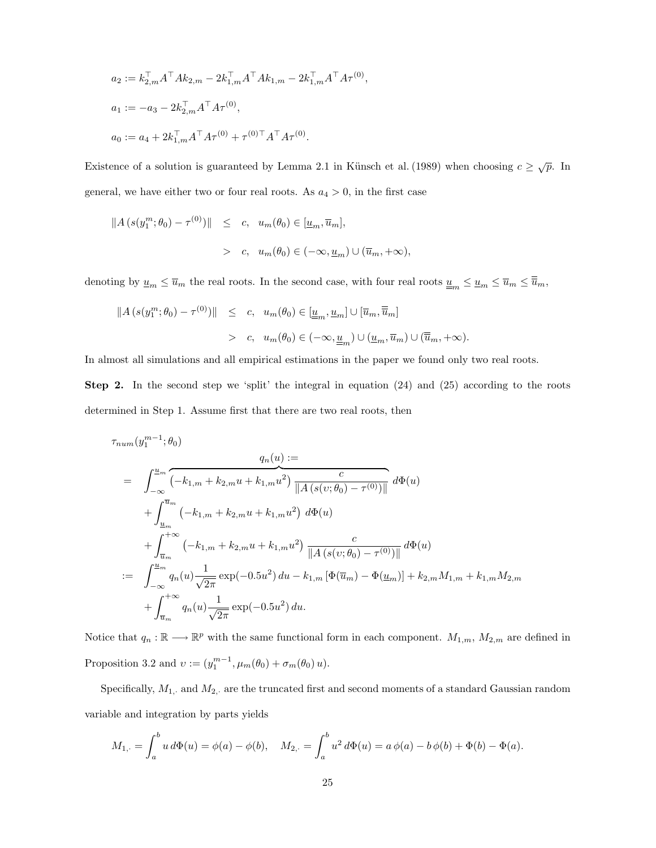$$
a_2 := k_{2,m}^\top A^\top A k_{2,m} - 2k_{1,m}^\top A^\top A k_{1,m} - 2k_{1,m}^\top A^\top A \tau^{(0)}
$$
  
\n
$$
a_1 := -a_3 - 2k_{2,m}^\top A^\top A \tau^{(0)},
$$
  
\n
$$
a_0 := a_4 + 2k_{1,m}^\top A^\top A \tau^{(0)} + \tau^{(0)\top} A^\top A \tau^{(0)}.
$$

Existence of a solution is guaranteed by Lemma 2.1 in Künsch et al. (1989) when choosing  $c \geq \sqrt{p}$ . In general, we have either two or four real roots. As  $a_4 > 0$ , in the first case

,

$$
||A (s(y_1^m; \theta_0) - \tau^{(0)})|| \leq c, \quad u_m(\theta_0) \in [\underline{u}_m, \overline{u}_m],
$$
  
>  $c, \quad u_m(\theta_0) \in (-\infty, \underline{u}_m) \cup (\overline{u}_m, +\infty),$ 

denoting by  $\underline{u}_m \le \overline{u}_m$  the real roots. In the second case, with four real roots  $\underline{\underline{u}}_m \le \underline{u}_m \le \overline{u}_m \le \overline{\overline{u}}_m$ ,

$$
||A (s(y_1^m; \theta_0) - \tau^{(0)})|| \leq c, \quad u_m(\theta_0) \in [\underline{u}_m, \underline{u}_m] \cup [\overline{u}_m, \overline{\overline{u}}_m]
$$
  
> c,  $u_m(\theta_0) \in (-\infty, \underline{u}_m) \cup (\underline{u}_m, \overline{u}_m) \cup (\overline{\overline{u}}_m, +\infty).$ 

In almost all simulations and all empirical estimations in the paper we found only two real roots.

Step 2. In the second step we 'split' the integral in equation (24) and (25) according to the roots determined in Step 1. Assume first that there are two real roots, then

$$
\tau_{num}(y_1^{m-1}; \theta_0)
$$
\n
$$
q_n(u) :=
$$
\n
$$
= \int_{-\infty}^{u_m} \overbrace{(-k_{1,m} + k_{2,m}u + k_{1,m}u^2)}^{q_m} \frac{c}{\|A(s(v; \theta_0) - \tau^{(0)})\|} d\Phi(u)
$$
\n
$$
+ \int_{\frac{u_m}{u_m}}^{\overline{u_m}} (-k_{1,m} + k_{2,m}u + k_{1,m}u^2) d\Phi(u)
$$
\n
$$
+ \int_{\overline{u_m}}^{+\infty} (-k_{1,m} + k_{2,m}u + k_{1,m}u^2) \frac{c}{\|A(s(v; \theta_0) - \tau^{(0)})\|} d\Phi(u)
$$
\n
$$
:= \int_{-\infty}^{u_m} q_n(u) \frac{1}{\sqrt{2\pi}} \exp(-0.5u^2) du - k_{1,m} [\Phi(\overline{u_m}) - \Phi(\underline{u_m})] + k_{2,m} M_{1,m} + k_{1,m} M_{2,m}
$$
\n
$$
+ \int_{\overline{u_m}}^{+\infty} q_n(u) \frac{1}{\sqrt{2\pi}} \exp(-0.5u^2) du.
$$

Notice that  $q_n : \mathbb{R} \longrightarrow \mathbb{R}^p$  with the same functional form in each component.  $M_{1,m}$ ,  $M_{2,m}$  are defined in Proposition 3.2 and  $v := (y_1^{m-1}, \mu_m(\theta_0) + \sigma_m(\theta_0) u).$ 

Specifically,  $M_{1, \cdot}$  and  $M_{2, \cdot}$  are the truncated first and second moments of a standard Gaussian random variable and integration by parts yields

$$
M_{1,\cdot} = \int_a^b u \, d\Phi(u) = \phi(a) - \phi(b), \quad M_{2,\cdot} = \int_a^b u^2 \, d\Phi(u) = a \, \phi(a) - b \, \phi(b) + \Phi(b) - \Phi(a).
$$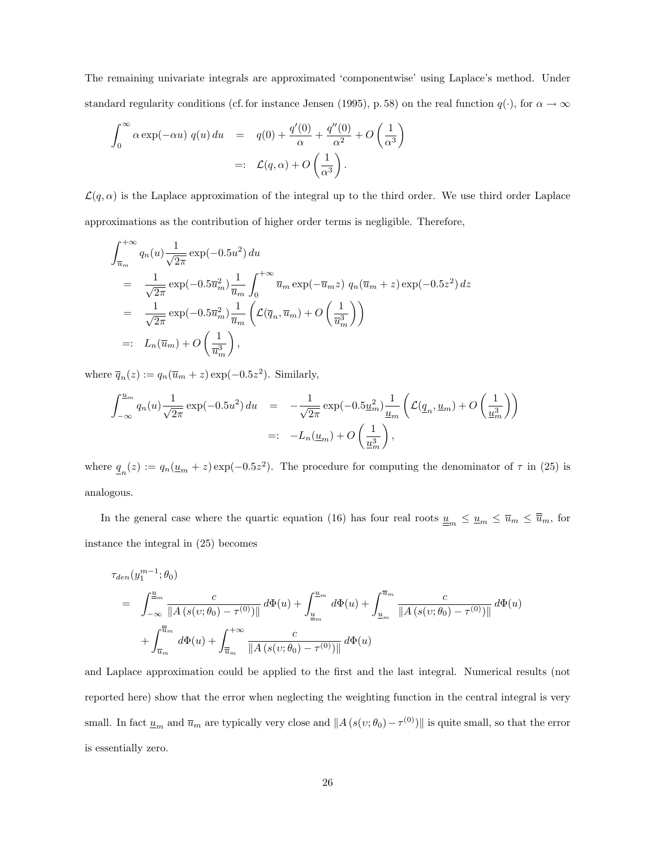The remaining univariate integrals are approximated 'componentwise' using Laplace's method. Under standard regularity conditions (cf. for instance Jensen (1995), p. 58) on the real function  $q(\cdot)$ , for  $\alpha \to \infty$ 

$$
\int_0^\infty \alpha \exp(-\alpha u) \ q(u) \ du = q(0) + \frac{q'(0)}{\alpha} + \frac{q''(0)}{\alpha^2} + O\left(\frac{1}{\alpha^3}\right)
$$

$$
=: \ \mathcal{L}(q, \alpha) + O\left(\frac{1}{\alpha^3}\right).
$$

 $\mathcal{L}(q,\alpha)$  is the Laplace approximation of the integral up to the third order. We use third order Laplace approximations as the contribution of higher order terms is negligible. Therefore,

$$
\int_{\overline{u}_m}^{+\infty} q_n(u) \frac{1}{\sqrt{2\pi}} \exp(-0.5u^2) du
$$
\n
$$
= \frac{1}{\sqrt{2\pi}} \exp(-0.5\overline{u}_m^2) \frac{1}{\overline{u}_m} \int_0^{+\infty} \overline{u}_m \exp(-\overline{u}_m z) q_n(\overline{u}_m + z) \exp(-0.5z^2) dz
$$
\n
$$
= \frac{1}{\sqrt{2\pi}} \exp(-0.5\overline{u}_m^2) \frac{1}{\overline{u}_m} \left( \mathcal{L}(\overline{q}_n, \overline{u}_m) + O\left(\frac{1}{\overline{u}_m^3}\right) \right)
$$
\n
$$
=: L_n(\overline{u}_m) + O\left(\frac{1}{\overline{u}_m^3}\right),
$$

where  $\overline{q}_n(z) := q_n(\overline{u}_m + z) \exp(-0.5z^2)$ . Similarly,

$$
\int_{-\infty}^{\underline{u}_m} q_n(u) \frac{1}{\sqrt{2\pi}} \exp(-0.5u^2) du = -\frac{1}{\sqrt{2\pi}} \exp(-0.5\underline{u}_m^2) \frac{1}{\underline{u}_m} \left( \mathcal{L}(\underline{q}_n, \underline{u}_m) + O\left(\frac{1}{\underline{u}_m^3}\right) \right)
$$
  
=: 
$$
-L_n(\underline{u}_m) + O\left(\frac{1}{\underline{u}_m^3}\right),
$$

where  $q_n(z) := q_n(\underline{u}_m + z) \exp(-0.5z^2)$ . The procedure for computing the denominator of  $\tau$  in (25) is analogous.

In the general case where the quartic equation (16) has four real roots  $\underline{u}_m \le \underline{u}_m \le \overline{u}_m \le \overline{u}_m$ , for instance the integral in (25) becomes

$$
\tau_{den}(y_1^{m-1}; \theta_0)
$$
\n
$$
= \int_{-\infty}^{\frac{u}{m}} \frac{c}{\|A(s(v; \theta_0) - \tau^{(0)})\|} d\Phi(u) + \int_{\frac{u}{m}}^{\frac{u}{m}} d\Phi(u) + \int_{\frac{u}{m}}^{\frac{u}{m}} \frac{c}{\|A(s(v; \theta_0) - \tau^{(0)})\|} d\Phi(u)
$$
\n
$$
+ \int_{\frac{u}{m}}^{\frac{u}{m}} d\Phi(u) + \int_{\frac{u}{m}}^{\frac{u}{m}} \frac{c}{\|A(s(v; \theta_0) - \tau^{(0)})\|} d\Phi(u)
$$

and Laplace approximation could be applied to the first and the last integral. Numerical results (not reported here) show that the error when neglecting the weighting function in the central integral is very small. In fact  $\underline{u}_m$  and  $\overline{u}_m$  are typically very close and  $||A(s(v;\theta_0)-\tau^{(0)})||$  is quite small, so that the error is essentially zero.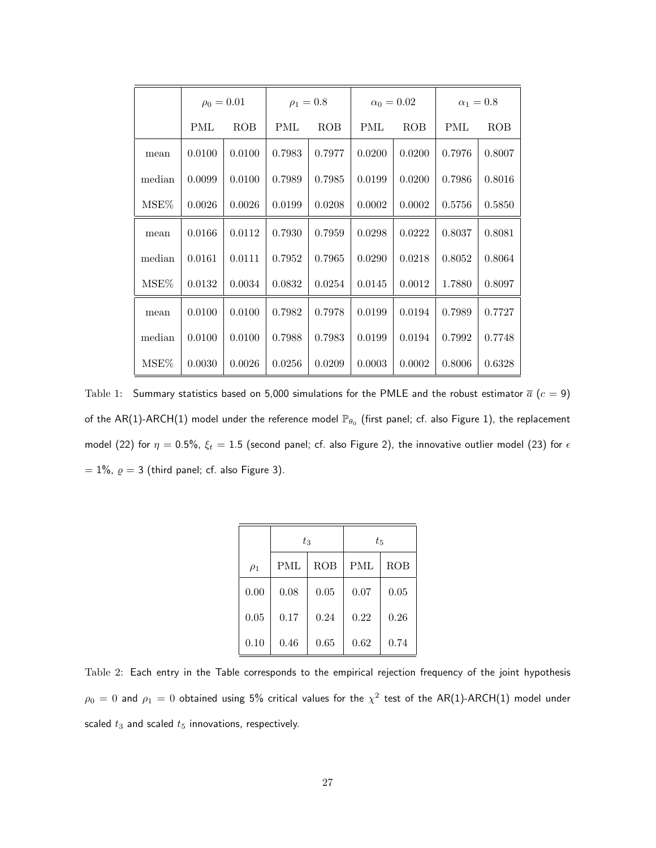|        | $\rho_0 = 0.01$ |            | $\rho_1 = 0.8$ |            | $\alpha_0 = 0.02$ |            | $\alpha_1=0.8$ |            |
|--------|-----------------|------------|----------------|------------|-------------------|------------|----------------|------------|
|        | PML             | <b>ROB</b> | PML            | <b>ROB</b> | <b>PML</b>        | <b>ROB</b> | <b>PML</b>     | <b>ROB</b> |
| mean   | 0.0100          | 0.0100     | 0.7983         | 0.7977     | 0.0200            | 0.0200     | 0.7976         | 0.8007     |
| median | 0.0099          | 0.0100     | 0.7989         | 0.7985     | 0.0199            | 0.0200     | 0.7986         | 0.8016     |
| MSE%   | 0.0026          | 0.0026     | 0.0199         | 0.0208     | 0.0002            | 0.0002     | 0.5756         | 0.5850     |
| mean   | 0.0166          | 0.0112     | 0.7930         | 0.7959     | 0.0298            | 0.0222     | 0.8037         | 0.8081     |
| median | 0.0161          | 0.0111     | 0.7952         | 0.7965     | 0.0290            | 0.0218     | 0.8052         | 0.8064     |
| MSE%   | 0.0132          | 0.0034     | 0.0832         | 0.0254     | 0.0145            | 0.0012     | 1.7880         | 0.8097     |
| mean   | 0.0100          | 0.0100     | 0.7982         | 0.7978     | 0.0199            | 0.0194     | 0.7989         | 0.7727     |
| median | 0.0100          | 0.0100     | 0.7988         | 0.7983     | 0.0199            | 0.0194     | 0.7992         | 0.7748     |
| MSE%   | 0.0030          | 0.0026     | 0.0256         | 0.0209     | 0.0003            | 0.0002     | 0.8006         | 0.6328     |

Table 1: Summary statistics based on 5,000 simulations for the PMLE and the robust estimator  $\bar{a}$  ( $c = 9$ ) of the AR(1)-ARCH(1) model under the reference model  $\mathbb{P}_{\theta_0}$  (first panel; cf. also Figure 1), the replacement model (22) for  $\eta = 0.5\%$ ,  $\xi_t = 1.5$  (second panel; cf. also Figure 2), the innovative outlier model (23) for  $\epsilon$  $= 1\%$ ,  $\varrho = 3$  (third panel; cf. also Figure 3).

|          | $t_{3}$    |      | $t_{5}$    |      |  |  |
|----------|------------|------|------------|------|--|--|
| $\rho_1$ | <b>PML</b> | ROB  | <b>PML</b> | ROB  |  |  |
| 0.00     | 0.08       | 0.05 | 0.07       | 0.05 |  |  |
| 0.05     | 0.17       | 0.24 | 0.22       | 0.26 |  |  |
| 0.10     | 0.46       | 0.65 | 0.62       | 0.74 |  |  |

Table 2: Each entry in the Table corresponds to the empirical rejection frequency of the joint hypothesis  $\rho_0=0$  and  $\rho_1=0$  obtained using 5% critical values for the  $\chi^2$  test of the AR(1)-ARCH(1) model under scaled  $t_3$  and scaled  $t_5$  innovations, respectively.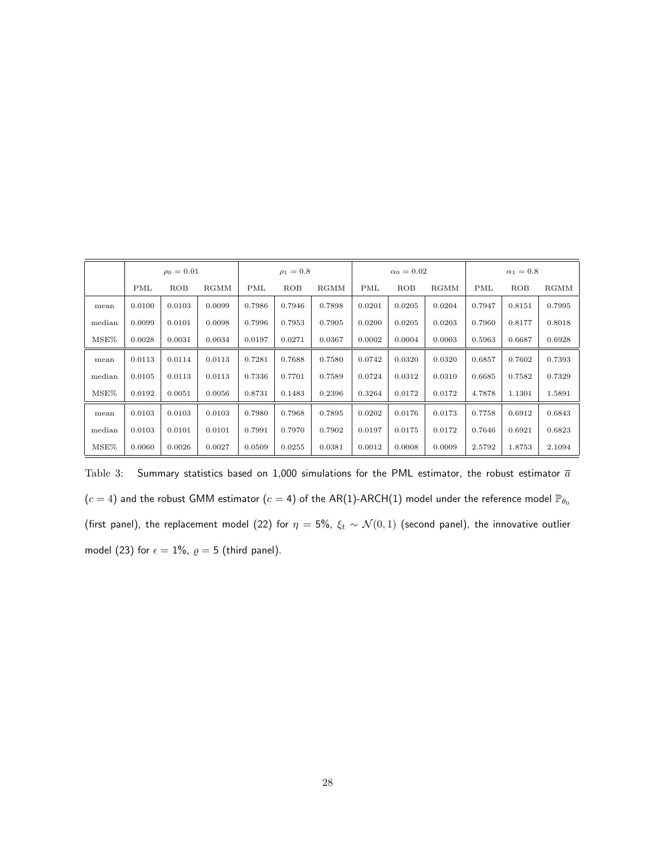|        | $\rho_0 = 0.01$ |        |             | $\rho_1 = 0.8$ |            |             | $\alpha_0 = 0.02$ |        |             | $\alpha_1=0.8$ |        |        |
|--------|-----------------|--------|-------------|----------------|------------|-------------|-------------------|--------|-------------|----------------|--------|--------|
|        | PML             | ROB    | <b>RGMM</b> | PML            | <b>ROB</b> | <b>RGMM</b> | PML               | ROB    | <b>RGMM</b> | PML            | ROB    | RGMM   |
| mean   | 0.0100          | 0.0103 | 0.0099      | 0.7986         | 0.7946     | 0.7898      | 0.0201            | 0.0205 | 0.0204      | 0.7947         | 0.8151 | 0.7995 |
| median | 0.0099          | 0.0101 | 0.0098      | 0.7996         | 0.7953     | 0.7905      | 0.0200            | 0.0205 | 0.0203      | 0.7960         | 0.8177 | 0.8018 |
| MSE%   | 0.0028          | 0.0031 | 0.0034      | 0.0197         | 0.0271     | 0.0367      | 0.0002            | 0.0004 | 0.0003      | 0.5963         | 0.6687 | 0.6928 |
| mean   | 0.0113          | 0.0114 | 0.0113      | 0.7281         | 0.7688     | 0.7580      | 0.0742            | 0.0320 | 0.0320      | 0.6857         | 0.7602 | 0.7393 |
| median | 0.0105          | 0.0113 | 0.0113      | 0.7336         | 0.7701     | 0.7589      | 0.0724            | 0.0312 | 0.0310      | 0.6685         | 0.7582 | 0.7329 |
| MSE%   | 0.0192          | 0.0051 | 0.0056      | 0.8731         | 0.1483     | 0.2396      | 0.3264            | 0.0172 | 0.0172      | 4.7878         | 1.1301 | 1.5891 |
| mean   | 0.0103          | 0.0103 | 0.0103      | 0.7980         | 0.7968     | 0.7895      | 0.0202            | 0.0176 | 0.0173      | 0.7758         | 0.6912 | 0.6843 |
| median | 0.0103          | 0.0101 | 0.0101      | 0.7991         | 0.7970     | 0.7902      | 0.0197            | 0.0175 | 0.0172      | 0.7646         | 0.6921 | 0.6823 |
| MSE%   | 0.0060          | 0.0026 | 0.0027      | 0.0509         | 0.0255     | 0.0381      | 0.0012            | 0.0008 | 0.0009      | 2.5792         | 1.8753 | 2.1094 |

Table 3: Summary statistics based on 1,000 simulations for the PML estimator, the robust estimator  $\overline{a}$  $(c = 4)$  and the robust GMM estimator  $(c = 4)$  of the AR(1)-ARCH(1) model under the reference model  $\mathbb{P}_{\theta_0}$ (first panel), the replacement model (22) for  $\eta = 5\%$ ,  $\xi_t \sim \mathcal{N}(0, 1)$  (second panel), the innovative outlier model (23) for  $\epsilon = 1\%$ ,  $\rho = 5$  (third panel).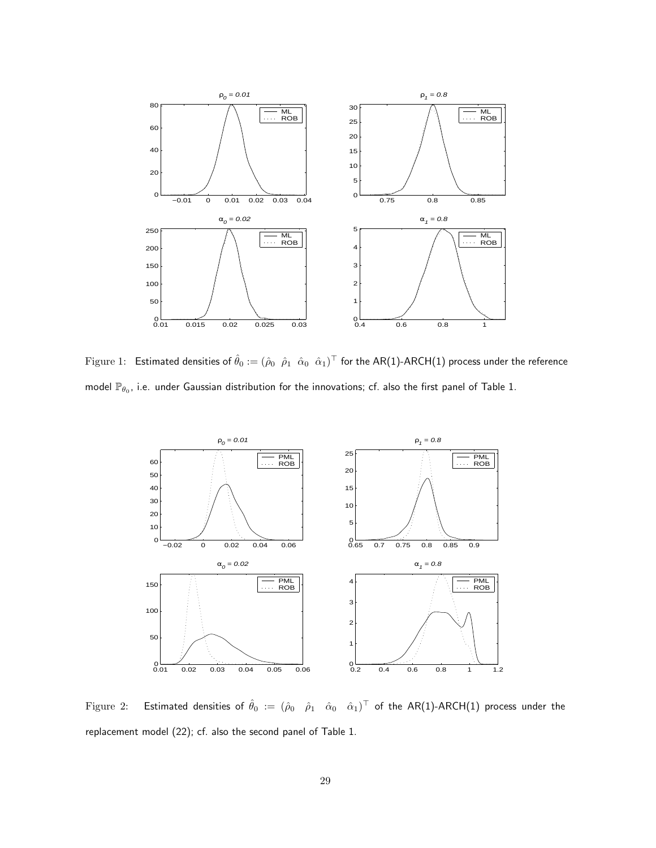

Figure 1:  $\:$  Estimated densities of  $\hat\theta_0:=(\hat\rho_0\;\;\hat\rho_1\;\;\hat\alpha_0\;\;\hat\alpha_1)^\top$  for the AR(1)-ARCH(1) process under the reference model  $\mathbb{P}_{\theta_0}$ , i.e. under Gaussian distribution for the innovations; cf. also the first panel of Table 1.



Figure 2: Estimated densities of  $\hat\theta_0:= (\hat\rho_0-\hat\rho_1-\hat\alpha_0-\hat\alpha_1)^\top$  of the AR(1)-ARCH(1) process under the replacement model (22); cf. also the second panel of Table 1.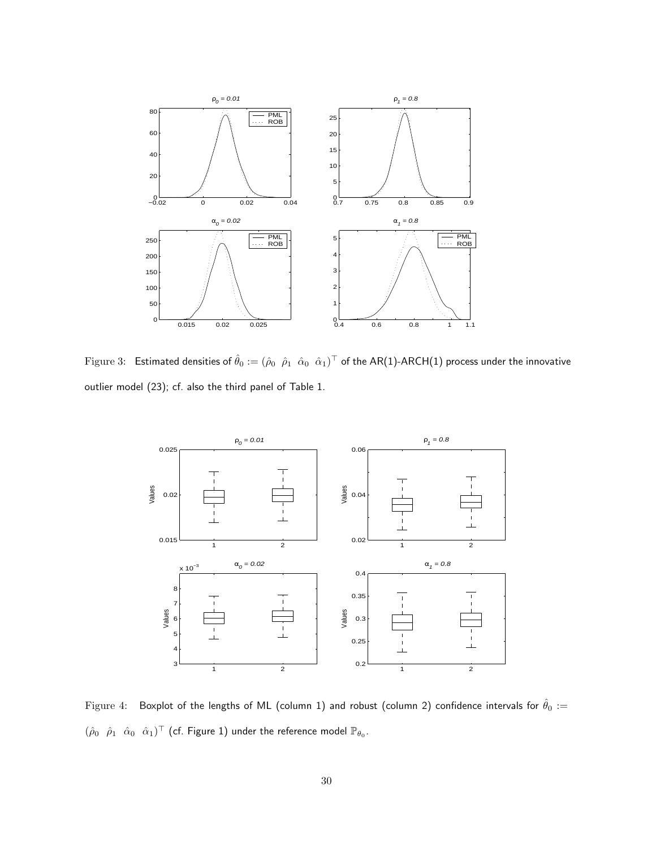

Figure 3: Estimated densities of  $\hat\theta_0:=(\hat\rho_0\;\hat\rho_1\;\hat\alpha_0\;\hat\alpha_1)^\top$  of the AR(1)-ARCH(1) process under the innovative outlier model (23); cf. also the third panel of Table 1.



Figure 4: Boxplot of the lengths of ML (column 1) and robust (column 2) confidence intervals for  $\hat{\theta}_0 :=$  $(\hat{\rho}_0 \quad \hat{\rho}_1 \quad \hat{\alpha}_0 \quad \hat{\alpha}_1)^{\top}$  (cf. Figure 1) under the reference model  $\mathbb{P}_{\theta_0}$ .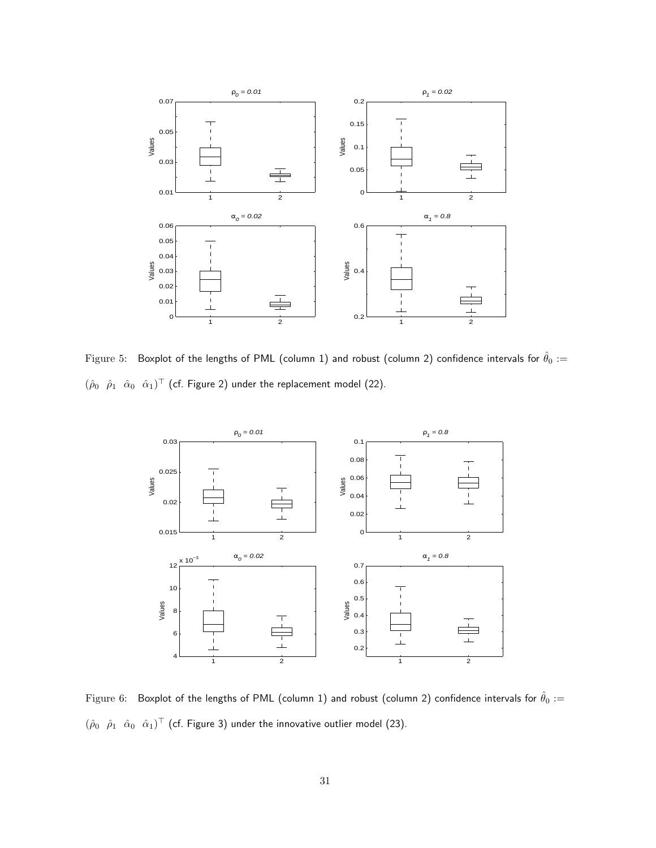

Figure 5: Boxplot of the lengths of PML (column 1) and robust (column 2) confidence intervals for  $\hat{\theta}_0 :=$  $(\hat{\rho}_0 \quad \hat{\rho}_1 \quad \hat{\alpha}_0 \quad \hat{\alpha}_1)^{\top}$  (cf. Figure 2) under the replacement model (22).



Figure 6: Boxplot of the lengths of PML (column 1) and robust (column 2) confidence intervals for  $\hat{\theta}_0 :=$  $(\hat{\rho}_0 \quad \hat{\rho}_1 \quad \hat{\alpha}_0 \quad \hat{\alpha}_1)^{\top}$  (cf. Figure 3) under the innovative outlier model (23).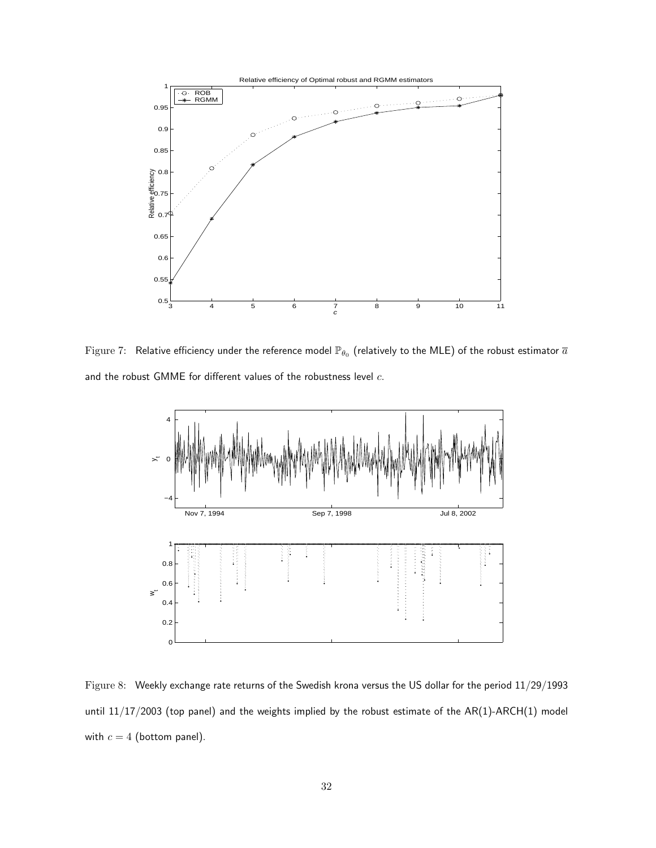

Figure 7:  $\,$  Relative efficiency under the reference model  $\mathbb{P}_{\theta_0}$  (relatively to the MLE) of the robust estimator  $\bar{a}$ and the robust GMME for different values of the robustness level  $c$ .



Figure 8: Weekly exchange rate returns of the Swedish krona versus the US dollar for the period 11/29/1993 until 11/17/2003 (top panel) and the weights implied by the robust estimate of the AR(1)-ARCH(1) model with  $c = 4$  (bottom panel).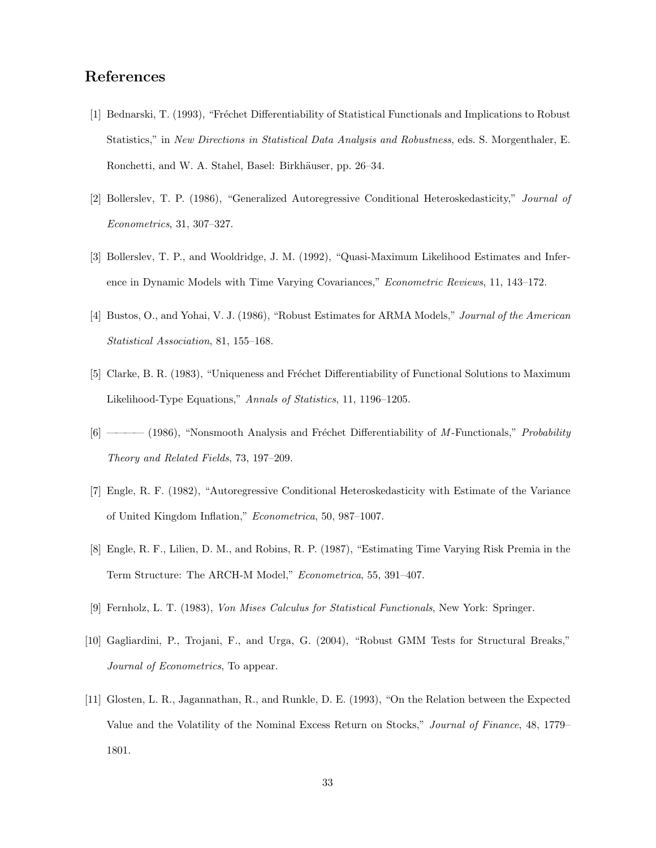# References

- [1] Bednarski, T. (1993), "Fréchet Differentiability of Statistical Functionals and Implications to Robust Statistics," in New Directions in Statistical Data Analysis and Robustness, eds. S. Morgenthaler, E. Ronchetti, and W. A. Stahel, Basel: Birkhäuser, pp. 26–34.
- [2] Bollerslev, T. P. (1986), "Generalized Autoregressive Conditional Heteroskedasticity," Journal of Econometrics, 31, 307–327.
- [3] Bollerslev, T. P., and Wooldridge, J. M. (1992), "Quasi-Maximum Likelihood Estimates and Inference in Dynamic Models with Time Varying Covariances," Econometric Reviews, 11, 143–172.
- [4] Bustos, O., and Yohai, V. J. (1986), "Robust Estimates for ARMA Models," Journal of the American Statistical Association, 81, 155–168.
- [5] Clarke, B. R. (1983), "Uniqueness and Fréchet Differentiability of Functional Solutions to Maximum Likelihood-Type Equations," Annals of Statistics, 11, 1196–1205.
- [6] ———— (1986), "Nonsmooth Analysis and Fréchet Differentiability of M-Functionals," Probability Theory and Related Fields, 73, 197–209.
- [7] Engle, R. F. (1982), "Autoregressive Conditional Heteroskedasticity with Estimate of the Variance of United Kingdom Inflation," Econometrica, 50, 987–1007.
- [8] Engle, R. F., Lilien, D. M., and Robins, R. P. (1987), "Estimating Time Varying Risk Premia in the Term Structure: The ARCH-M Model," Econometrica, 55, 391–407.
- [9] Fernholz, L. T. (1983), Von Mises Calculus for Statistical Functionals, New York: Springer.
- [10] Gagliardini, P., Trojani, F., and Urga, G. (2004), "Robust GMM Tests for Structural Breaks," Journal of Econometrics, To appear.
- [11] Glosten, L. R., Jagannathan, R., and Runkle, D. E. (1993), "On the Relation between the Expected Value and the Volatility of the Nominal Excess Return on Stocks," Journal of Finance, 48, 1779– 1801.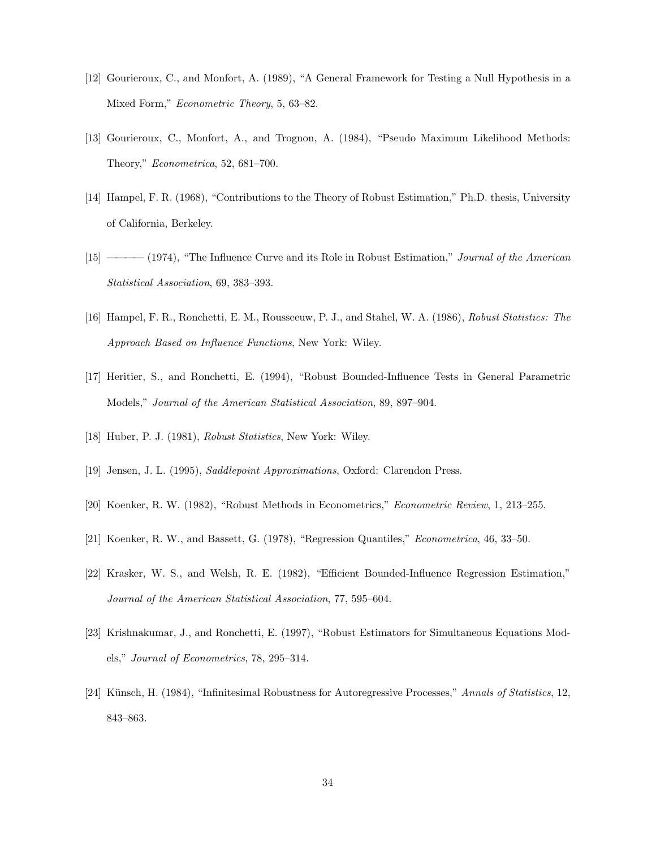- [12] Gourieroux, C., and Monfort, A. (1989), "A General Framework for Testing a Null Hypothesis in a Mixed Form," Econometric Theory, 5, 63–82.
- [13] Gourieroux, C., Monfort, A., and Trognon, A. (1984), "Pseudo Maximum Likelihood Methods: Theory," Econometrica, 52, 681–700.
- [14] Hampel, F. R. (1968), "Contributions to the Theory of Robust Estimation," Ph.D. thesis, University of California, Berkeley.
- [15] ———— (1974), "The Influence Curve and its Role in Robust Estimation," Journal of the American Statistical Association, 69, 383–393.
- [16] Hampel, F. R., Ronchetti, E. M., Rousseeuw, P. J., and Stahel, W. A. (1986), Robust Statistics: The Approach Based on Influence Functions, New York: Wiley.
- [17] Heritier, S., and Ronchetti, E. (1994), "Robust Bounded-Influence Tests in General Parametric Models," Journal of the American Statistical Association, 89, 897–904.
- [18] Huber, P. J. (1981), Robust Statistics, New York: Wiley.
- [19] Jensen, J. L. (1995), Saddlepoint Approximations, Oxford: Clarendon Press.
- [20] Koenker, R. W. (1982), "Robust Methods in Econometrics," Econometric Review, 1, 213–255.
- [21] Koenker, R. W., and Bassett, G. (1978), "Regression Quantiles," Econometrica, 46, 33–50.
- [22] Krasker, W. S., and Welsh, R. E. (1982), "Efficient Bounded-Influence Regression Estimation," Journal of the American Statistical Association, 77, 595–604.
- [23] Krishnakumar, J., and Ronchetti, E. (1997), "Robust Estimators for Simultaneous Equations Models," Journal of Econometrics, 78, 295–314.
- [24] Künsch, H. (1984), "Infinitesimal Robustness for Autoregressive Processes," Annals of Statistics, 12, 843–863.